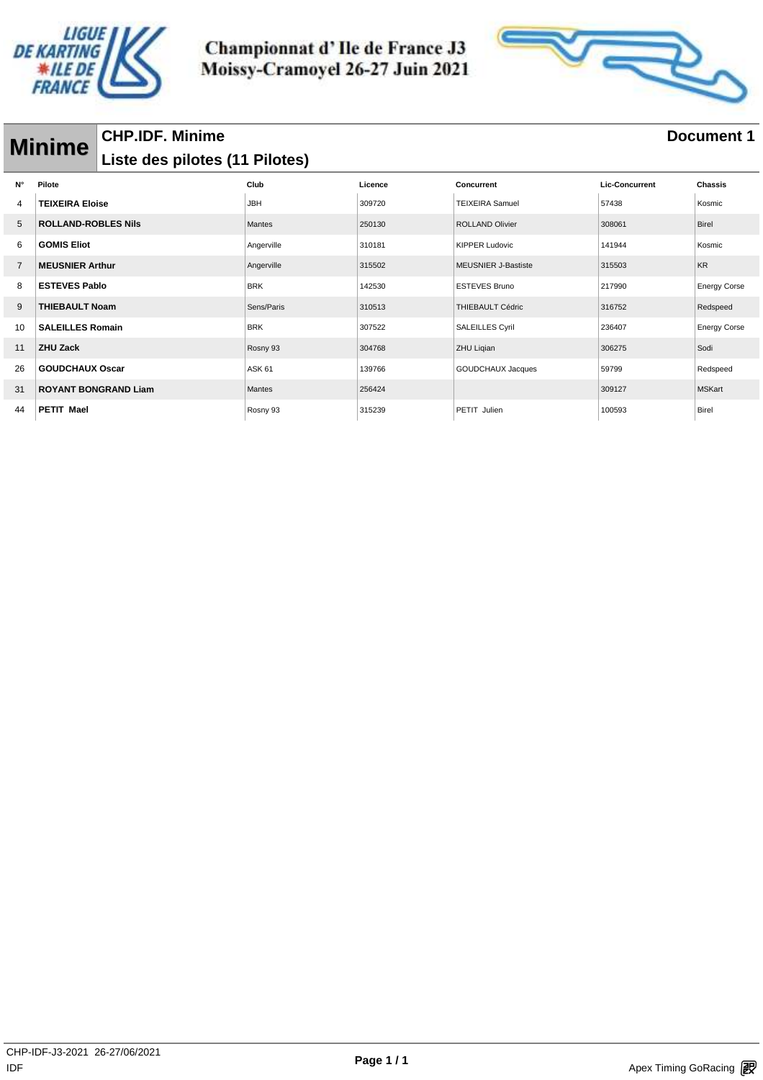



## **Minime** CHP.IDF. Minime<br> **Minime** bisto des pilotes (11 Pilotes) **Liste des pilotes (11 Pilotes)**

| $N^{\circ}$    | Pilote                      | Club              | Licence | Concurrent                 | <b>Lic-Concurrent</b> | <b>Chassis</b>      |
|----------------|-----------------------------|-------------------|---------|----------------------------|-----------------------|---------------------|
| 4              | <b>TEIXEIRA Eloise</b>      | <b>JBH</b>        | 309720  | <b>TEIXEIRA Samuel</b>     | 57438                 | Kosmic              |
| 5              | <b>ROLLAND-ROBLES Nils</b>  | <b>Mantes</b>     | 250130  | <b>ROLLAND Olivier</b>     | 308061                | Birel               |
| 6              | <b>GOMIS Eliot</b>          | Angerville        | 310181  | <b>KIPPER Ludovic</b>      | 141944                | Kosmic              |
| $\overline{7}$ | <b>MEUSNIER Arthur</b>      | Angerville        | 315502  | <b>MEUSNIER J-Bastiste</b> | 315503                | <b>KR</b>           |
| 8              | <b>ESTEVES Pablo</b>        | <b>BRK</b>        | 142530  | <b>ESTEVES Bruno</b>       | 217990                | <b>Energy Corse</b> |
| 9              | <b>THIEBAULT Noam</b>       | Sens/Paris        | 310513  | <b>THIEBAULT Cédric</b>    | 316752                | Redspeed            |
| 10             | <b>SALEILLES Romain</b>     | <b>BRK</b>        | 307522  | <b>SALEILLES Cyril</b>     | 236407                | <b>Energy Corse</b> |
| 11             | <b>ZHU Zack</b>             | Rosny 93          | 304768  | ZHU Liqian                 | 306275                | Sodi                |
| 26             | <b>GOUDCHAUX Oscar</b>      | ASK <sub>61</sub> | 139766  | GOUDCHAUX Jacques          | 59799                 | Redspeed            |
| 31             | <b>ROYANT BONGRAND Liam</b> | <b>Mantes</b>     | 256424  |                            | 309127                | <b>MSKart</b>       |
| 44             | <b>PETIT Mael</b>           | Rosny 93          | 315239  | PETIT Julien               | 100593                | Birel               |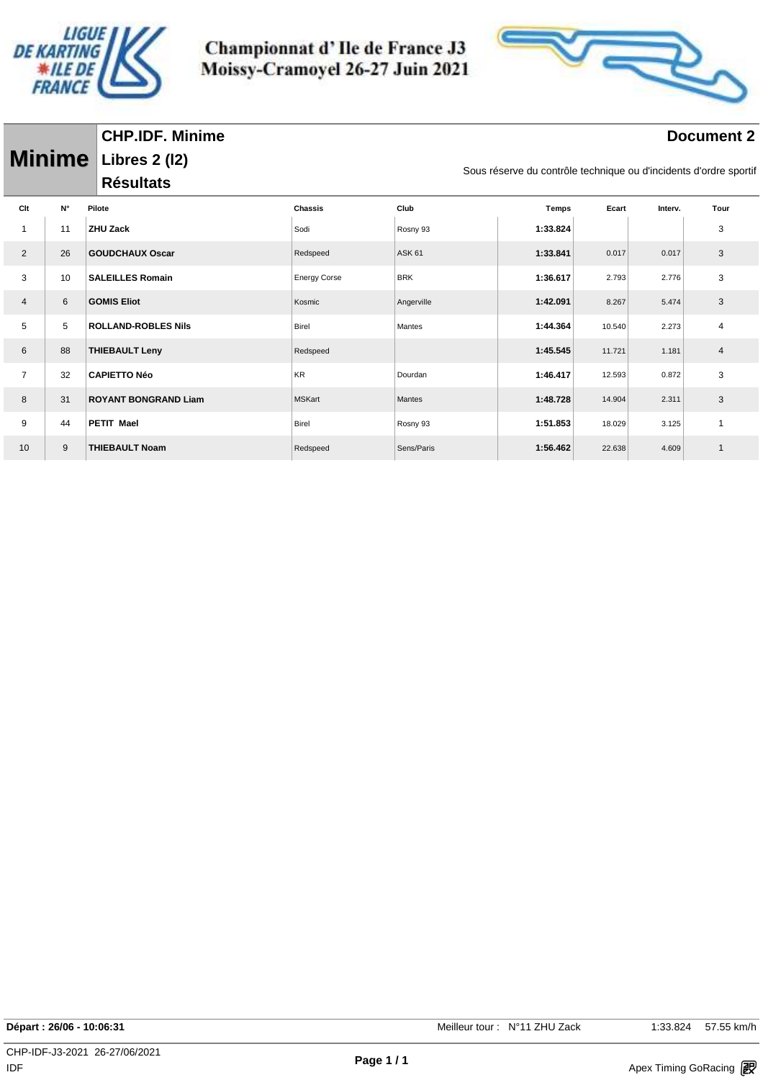

Championnat d'Ile de France J3 Moissy-Cramoyel 26-27 Juin 2021



#### **Document 2**

|                |             | <b>Minime</b> Libres 2 (12) |                     |               | Sous réserve du contrôle technique ou d'incidents d'ordre sportif |        |         |      |  |
|----------------|-------------|-----------------------------|---------------------|---------------|-------------------------------------------------------------------|--------|---------|------|--|
|                |             | <b>Résultats</b>            |                     |               |                                                                   |        |         |      |  |
| Clt            | $N^{\circ}$ | Pilote                      | <b>Chassis</b>      | Club          | <b>Temps</b>                                                      | Ecart  | Interv. | Tour |  |
| 1              | 11          | <b>ZHU Zack</b>             | Sodi                | Rosny 93      | 1:33.824                                                          |        |         | 3    |  |
| $\overline{2}$ | 26          | <b>GOUDCHAUX Oscar</b>      | Redspeed            | <b>ASK 61</b> | 1:33.841                                                          | 0.017  | 0.017   | 3    |  |
| 3              | 10          | <b>SALEILLES Romain</b>     | <b>Energy Corse</b> | <b>BRK</b>    | 1:36.617                                                          | 2.793  | 2.776   | 3    |  |
| $\overline{4}$ | 6           | <b>GOMIS Eliot</b>          | Kosmic              | Angerville    | 1:42.091                                                          | 8.267  | 5.474   | 3    |  |
| 5              | 5           | <b>ROLLAND-ROBLES Nils</b>  | Birel               | Mantes        | 1:44.364                                                          | 10.540 | 2.273   | 4    |  |
| 6              | 88          | <b>THIEBAULT Leny</b>       | Redspeed            |               | 1:45.545                                                          | 11.721 | 1.181   | 4    |  |
| $\overline{7}$ | 32          | <b>CAPIETTO Néo</b>         | <b>KR</b>           | Dourdan       | 1:46.417                                                          | 12.593 | 0.872   | 3    |  |
| 8              | 31          | <b>ROYANT BONGRAND Liam</b> | <b>MSKart</b>       | Mantes        | 1:48.728                                                          | 14.904 | 2.311   | 3    |  |
| 9              | 44          | PETIT Mael                  | Birel               | Rosny 93      | 1:51.853                                                          | 18.029 | 3.125   | 1    |  |
| 10             | 9           | <b>THIEBAULT Noam</b>       | Redspeed            | Sens/Paris    | 1:56.462                                                          | 22.638 | 4.609   | 1    |  |
|                |             |                             |                     |               |                                                                   |        |         |      |  |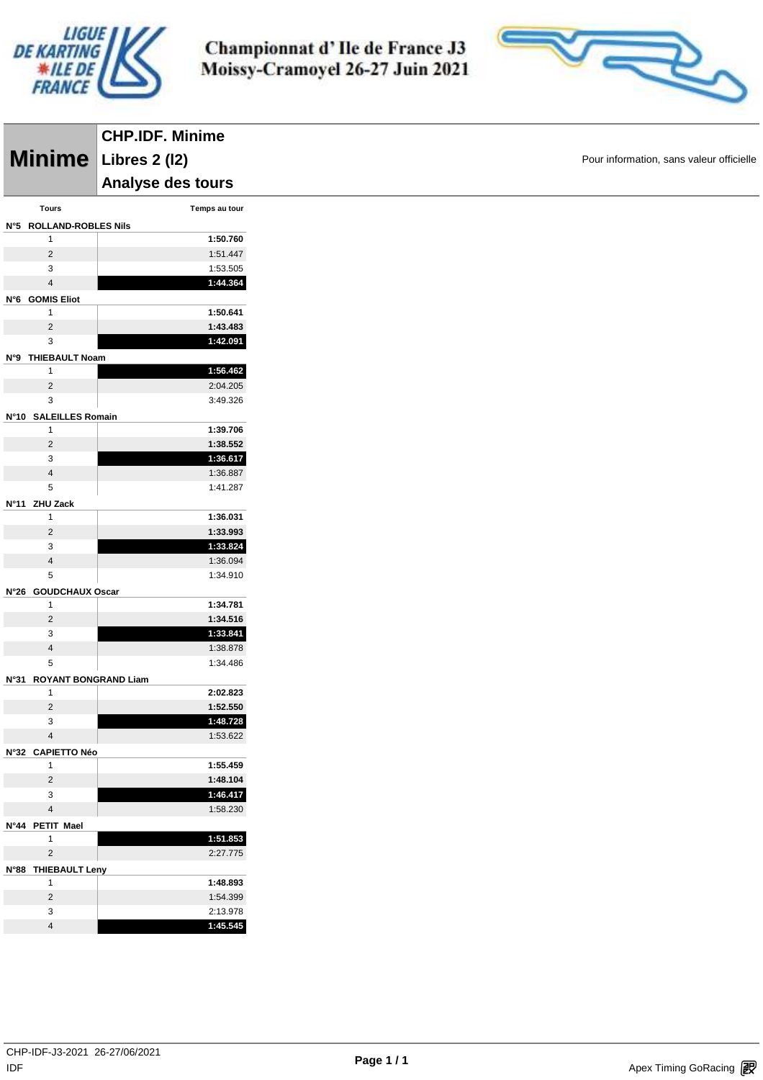



|                                | <b>CHP.IDF. Minime</b> |
|--------------------------------|------------------------|
|                                | Minime Libres 2 (12)   |
|                                | Analyse des tours      |
| Tours                          | Temps au tour          |
| N°5 ROLLAND-ROBLES Nils        |                        |
| $\mathbf{1}$                   | 1:50.760               |
| $\overline{2}$                 | 1:51.447               |
| 3                              | 1:53.505               |
| $\overline{\mathbf{4}}$        | 1:44.364               |
| N°6 GOMIS Eliot                |                        |
| $\mathbf{1}$<br>$\overline{2}$ | 1:50.641<br>1:43.483   |
| 3                              | 1:42.091               |
| N°9 THIEBAULT Noam             |                        |
| 1                              | 1:56.462               |
| $\overline{c}$                 | 2:04.205               |
| 3                              | 3:49.326               |
| N°10 SALEILLES Romain          |                        |
| $\mathbf{1}$                   | 1:39.706               |
| $\overline{2}$                 | 1:38.552               |
| 3                              | 1:36.617               |
| $\overline{4}$                 | 1:36.887               |
| 5                              | 1:41.287               |
| N°11 ZHU Zack                  |                        |
| 1                              | 1:36.031               |
| $\overline{c}$                 | 1:33.993               |
| 3<br>$\overline{\mathbf{4}}$   | 1:33.824<br>1:36.094   |
| 5                              | 1:34.910               |
| N°26 GOUDCHAUX Oscar           |                        |
| $\mathbf{1}$                   | 1:34.781               |
| $\overline{2}$                 | 1:34.516               |
| 3                              | 1:33.841               |
| $\overline{4}$                 | 1:38.878               |
| 5                              | 1:34.486               |
| N°31 ROYANT BONGRAND Liam      |                        |
| $\mathbf{1}$                   | 2:02.823               |
| $\overline{2}$                 | 1:52.550               |
| 3                              | 1:48.728               |
| $\overline{\mathbf{4}}$        | 1:53.622               |
| N°32 CAPIETTO Néo              |                        |
| $\mathbf{1}$<br>$\overline{2}$ | 1:55.459<br>1:48.104   |
| 3                              | 1:46.417               |
| $\overline{4}$                 | 1:58.230               |
| N°44 PETIT Mael                |                        |
| $\mathbf{1}$                   | 1:51.853               |
| $\overline{2}$                 | 2:27.775               |
| N°88 THIEBAULT Leny            |                        |
| $\mathbf{1}$                   | 1:48.893               |
| $\overline{2}$                 | 1:54.399               |
| 3                              | 2:13.978               |
| $\overline{\mathbf{4}}$        | 1:45.545               |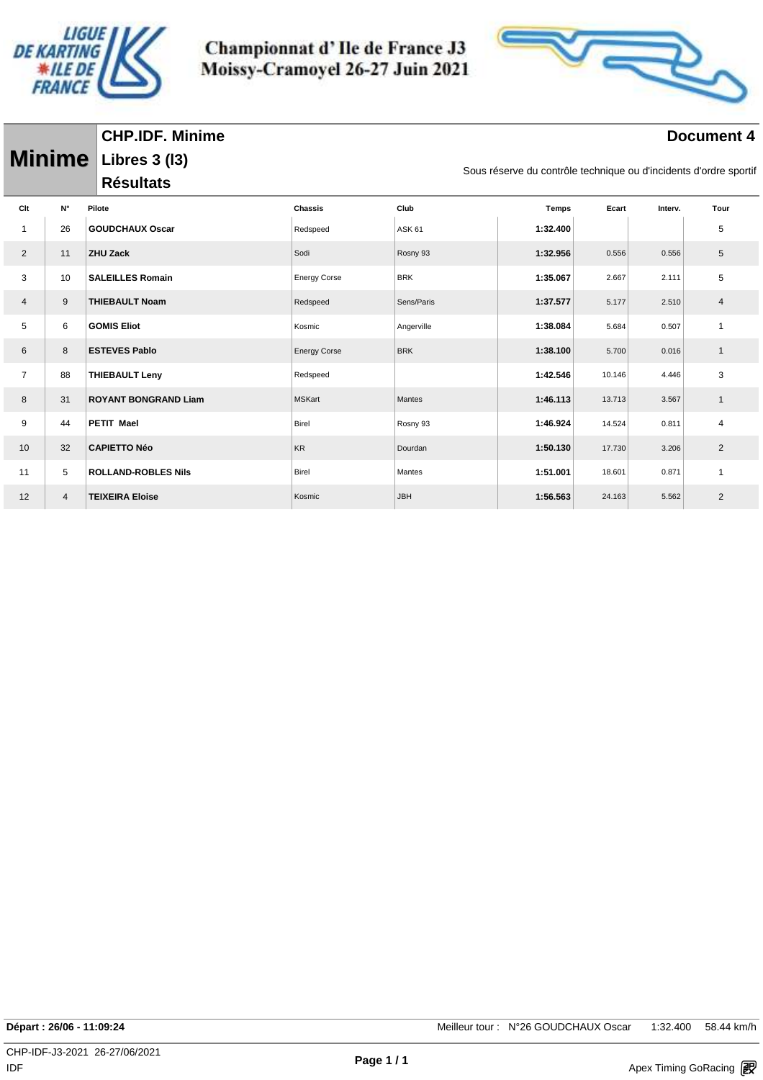

Championnat d'Ile de France J3 Moissy-Cramoyel 26-27 Juin 2021



#### **Document 4**

|                |                | Minime Libres 3 (13)                                                                  |                     |               |              |        |         |                |
|----------------|----------------|---------------------------------------------------------------------------------------|---------------------|---------------|--------------|--------|---------|----------------|
|                |                | Sous réserve du contrôle technique ou d'incidents d'ordre sportif<br><b>Résultats</b> |                     |               |              |        |         |                |
| Clt            | N°             | Pilote                                                                                | <b>Chassis</b>      | Club          | <b>Temps</b> | Ecart  | Interv. | Tour           |
|                | 26             | <b>GOUDCHAUX Oscar</b>                                                                | Redspeed            | <b>ASK 61</b> | 1:32.400     |        |         | 5              |
| $\overline{2}$ | 11             | <b>ZHU Zack</b>                                                                       | Sodi                | Rosny 93      | 1:32.956     | 0.556  | 0.556   | 5              |
| 3              | 10             | <b>SALEILLES Romain</b>                                                               | <b>Energy Corse</b> | <b>BRK</b>    | 1:35.067     | 2.667  | 2.111   | 5              |
| 4              | 9              | <b>THIEBAULT Noam</b>                                                                 | Redspeed            | Sens/Paris    | 1:37.577     | 5.177  | 2.510   | $\overline{4}$ |
| 5              | 6              | <b>GOMIS Eliot</b>                                                                    | Kosmic              | Angerville    | 1:38.084     | 5.684  | 0.507   | $\mathbf{1}$   |
| 6              | 8              | <b>ESTEVES Pablo</b>                                                                  | <b>Energy Corse</b> | <b>BRK</b>    | 1:38.100     | 5.700  | 0.016   | $\mathbf{1}$   |
| $\overline{7}$ | 88             | <b>THIEBAULT Leny</b>                                                                 | Redspeed            |               | 1:42.546     | 10.146 | 4.446   | 3              |
| 8              | 31             | <b>ROYANT BONGRAND Liam</b>                                                           | <b>MSKart</b>       | Mantes        | 1:46.113     | 13.713 | 3.567   | $\mathbf{1}$   |
| 9              | 44             | <b>PETIT Mael</b>                                                                     | <b>Birel</b>        | Rosny 93      | 1:46.924     | 14.524 | 0.811   | $\overline{4}$ |
| 10             | 32             | <b>CAPIETTO Néo</b>                                                                   | <b>KR</b>           | Dourdan       | 1:50.130     | 17.730 | 3.206   | $\overline{2}$ |
| 11             | 5              | <b>ROLLAND-ROBLES Nils</b>                                                            | <b>Birel</b>        | Mantes        | 1:51.001     | 18.601 | 0.871   | $\mathbf{1}$   |
| 12             | $\overline{4}$ | <b>TEIXEIRA Eloise</b>                                                                | Kosmic              | <b>JBH</b>    | 1:56.563     | 24.163 | 5.562   | $\overline{2}$ |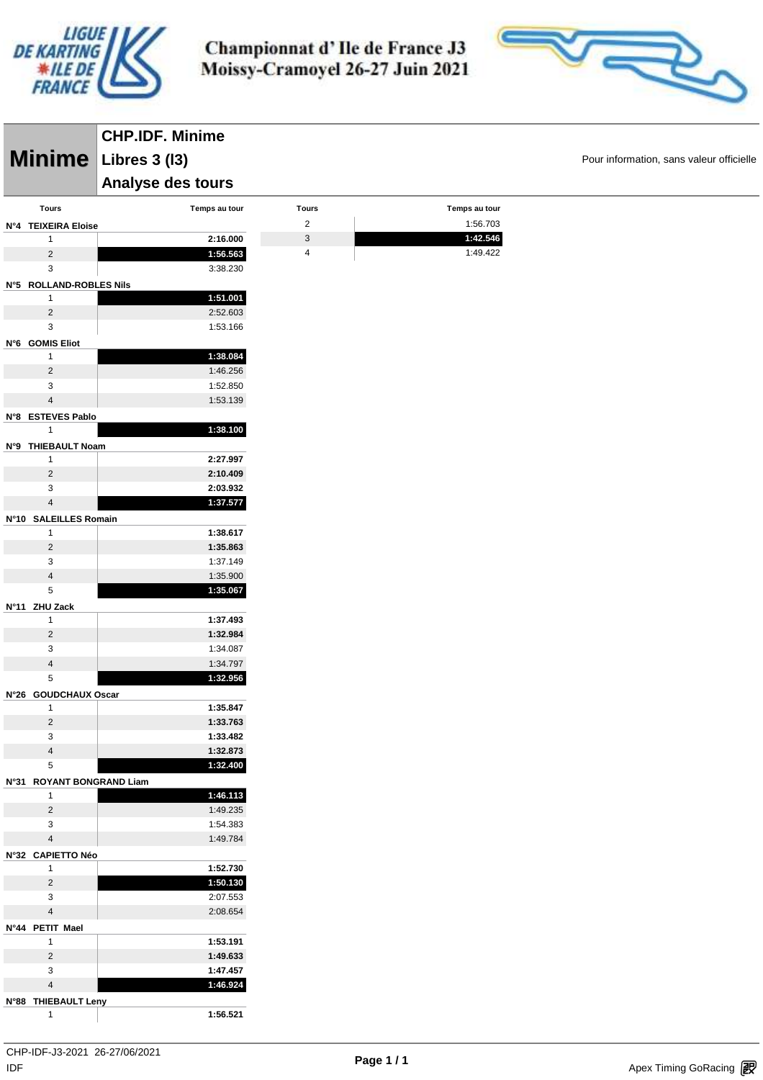



|                                   | <b>CHP.IDF. Minime</b> |                |               |                                          |
|-----------------------------------|------------------------|----------------|---------------|------------------------------------------|
|                                   | Minime Libres 3 (13)   |                |               | Pour information, sans valeur officielle |
|                                   | Analyse des tours      |                |               |                                          |
| <b>Tours</b>                      | Temps au tour          | <b>Tours</b>   | Temps au tour |                                          |
| N°4 TEIXEIRA Eloise               |                        | $\overline{2}$ | 1:56.703      |                                          |
| 1                                 | 2:16.000               | 3              | 1:42.546      |                                          |
| $\overline{2}$                    | 1:56.563               | 4              | 1:49.422      |                                          |
| 3                                 | 3:38.230               |                |               |                                          |
| N°5 ROLLAND-ROBLES Nils           |                        |                |               |                                          |
| $\mathbf{1}$                      | 1:51.001               |                |               |                                          |
| $\overline{2}$                    | 2:52.603               |                |               |                                          |
| 3                                 | 1:53.166               |                |               |                                          |
| N°6 GOMIS Eliot                   |                        |                |               |                                          |
| $\mathbf{1}$                      | 1:38.084               |                |               |                                          |
| $\overline{2}$                    | 1:46.256               |                |               |                                          |
| 3                                 | 1:52.850               |                |               |                                          |
| $\overline{4}$                    | 1:53.139               |                |               |                                          |
|                                   |                        |                |               |                                          |
| N°8 ESTEVES Pablo<br>$\mathbf{1}$ | 1:38.100               |                |               |                                          |
|                                   |                        |                |               |                                          |
| N°9 THIEBAULT Noam                |                        |                |               |                                          |
| $\mathbf{1}$                      | 2:27.997               |                |               |                                          |
| $\overline{2}$                    | 2:10.409               |                |               |                                          |
| 3                                 | 2:03.932               |                |               |                                          |
| $\overline{4}$                    | 1:37.577               |                |               |                                          |
| N°10 SALEILLES Romain             |                        |                |               |                                          |
| $\mathbf{1}$                      | 1:38.617               |                |               |                                          |
| $\overline{2}$                    | 1:35.863               |                |               |                                          |
| 3                                 | 1:37.149               |                |               |                                          |
| $\overline{4}$                    | 1:35.900               |                |               |                                          |
| 5                                 | 1:35.067               |                |               |                                          |
| N°11 ZHU Zack                     |                        |                |               |                                          |
| $\mathbf{1}$                      | 1:37.493               |                |               |                                          |
| $\overline{2}$                    | 1:32.984               |                |               |                                          |
| 3                                 | 1:34.087               |                |               |                                          |
| $\overline{4}$                    | 1:34.797               |                |               |                                          |
| $\,$ 5 $\,$                       | 1:32.956               |                |               |                                          |
| N°26 GOUDCHAUX Oscar              |                        |                |               |                                          |
| $\mathbf{1}$                      | 1:35.847               |                |               |                                          |
| $\sqrt{2}$                        | 1:33.763               |                |               |                                          |
| 3                                 | 1:33.482               |                |               |                                          |
| $\overline{4}$                    | 1:32.873               |                |               |                                          |
| 5                                 | 1:32.400               |                |               |                                          |
| N°31 ROYANT BONGRAND Liam         |                        |                |               |                                          |
| $\mathbf{1}$                      | 1:46.113               |                |               |                                          |
| $\overline{2}$                    | 1:49.235               |                |               |                                          |
| 3                                 | 1:54.383               |                |               |                                          |
| $\overline{4}$                    | 1:49.784               |                |               |                                          |
| N°32 CAPIETTO Néo                 |                        |                |               |                                          |
| $\mathbf{1}$                      | 1:52.730               |                |               |                                          |
| $\overline{2}$                    | 1:50.130               |                |               |                                          |
| 3                                 | 2:07.553               |                |               |                                          |
| $\overline{4}$                    | 2:08.654               |                |               |                                          |
| N°44 PETIT Mael                   |                        |                |               |                                          |
| 1                                 | 1:53.191               |                |               |                                          |
| $\overline{2}$                    | 1:49.633               |                |               |                                          |
| 3                                 | 1:47.457               |                |               |                                          |
| $\overline{4}$                    | 1:46.924               |                |               |                                          |
| N°88 THIEBAULT Leny               |                        |                |               |                                          |
| $\mathbf{1}$                      | 1:56.521               |                |               |                                          |
|                                   |                        |                |               |                                          |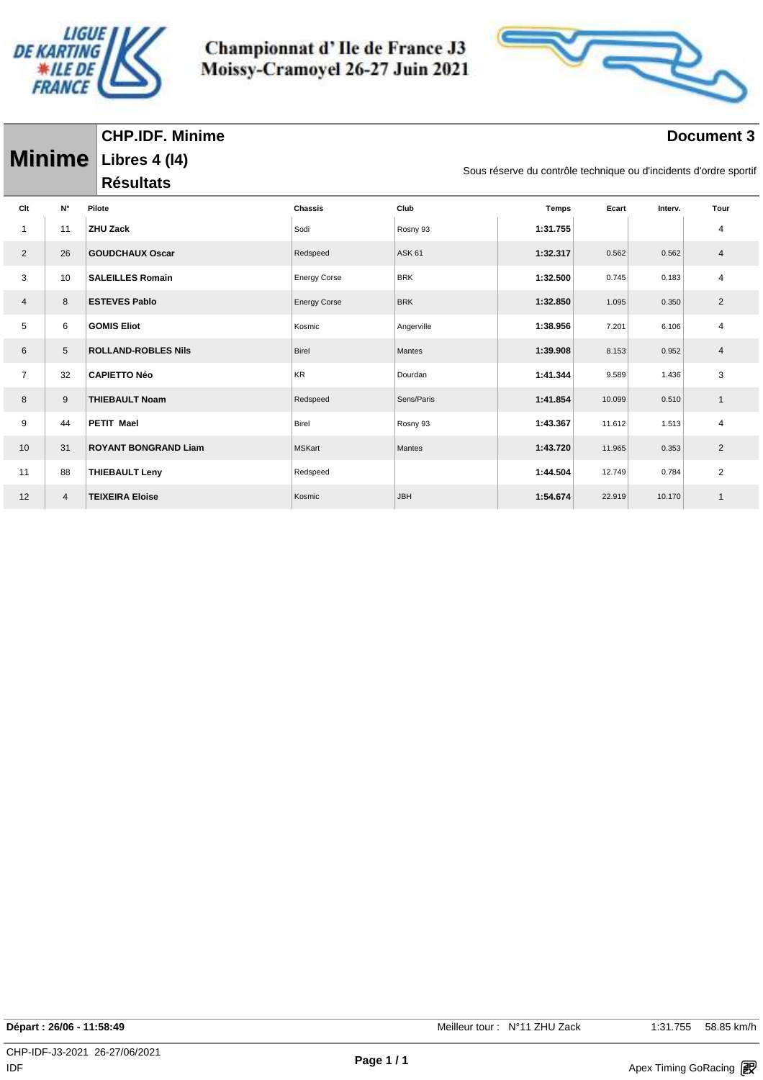

Championnat d'Ile de France J3 Moissy-Cramoyel 26-27 Juin 2021



#### **Document 3**

|                |                | <b>Minime</b> Libres 4 (14)                                                           |                     |               |              |        |         |                |  |  |  |
|----------------|----------------|---------------------------------------------------------------------------------------|---------------------|---------------|--------------|--------|---------|----------------|--|--|--|
|                |                | Sous réserve du contrôle technique ou d'incidents d'ordre sportif<br><b>Résultats</b> |                     |               |              |        |         |                |  |  |  |
| Clt            | $N^{\circ}$    | Pilote                                                                                | <b>Chassis</b>      | Club          | <b>Temps</b> | Ecart  | Interv. | Tour           |  |  |  |
| $\overline{1}$ | 11             | <b>ZHU Zack</b>                                                                       | Sodi                | Rosny 93      | 1:31.755     |        |         | 4              |  |  |  |
| $\overline{2}$ | 26             | <b>GOUDCHAUX Oscar</b>                                                                | Redspeed            | <b>ASK 61</b> | 1:32.317     | 0.562  | 0.562   | $\overline{4}$ |  |  |  |
| 3              | 10             | <b>SALEILLES Romain</b>                                                               | <b>Energy Corse</b> | <b>BRK</b>    | 1:32.500     | 0.745  | 0.183   | 4              |  |  |  |
| 4              | 8              | <b>ESTEVES Pablo</b>                                                                  | <b>Energy Corse</b> | <b>BRK</b>    | 1:32.850     | 1.095  | 0.350   | $\overline{2}$ |  |  |  |
| 5              | 6              | <b>GOMIS Eliot</b>                                                                    | Kosmic              | Angerville    | 1:38.956     | 7.201  | 6.106   | $\overline{4}$ |  |  |  |
| 6              | $\sqrt{5}$     | <b>ROLLAND-ROBLES Nils</b>                                                            | Birel               | Mantes        | 1:39.908     | 8.153  | 0.952   | $\overline{4}$ |  |  |  |
| $\overline{7}$ | 32             | <b>CAPIETTO Néo</b>                                                                   | KR                  | Dourdan       | 1:41.344     | 9.589  | 1.436   | 3              |  |  |  |
| 8              | 9              | <b>THIEBAULT Noam</b>                                                                 | Redspeed            | Sens/Paris    | 1:41.854     | 10.099 | 0.510   | $\mathbf{1}$   |  |  |  |
| 9              | 44             | <b>PETIT Mael</b>                                                                     | <b>Birel</b>        | Rosny 93      | 1:43.367     | 11.612 | 1.513   | 4              |  |  |  |
| 10             | 31             | <b>ROYANT BONGRAND Liam</b>                                                           | <b>MSKart</b>       | Mantes        | 1:43.720     | 11.965 | 0.353   | 2              |  |  |  |
| 11             | 88             | <b>THIEBAULT Leny</b>                                                                 | Redspeed            |               | 1:44.504     | 12.749 | 0.784   | $\overline{2}$ |  |  |  |
| 12             | $\overline{4}$ | <b>TEIXEIRA Eloise</b>                                                                | Kosmic              | <b>JBH</b>    | 1:54.674     | 22.919 | 10.170  | $\mathbf{1}$   |  |  |  |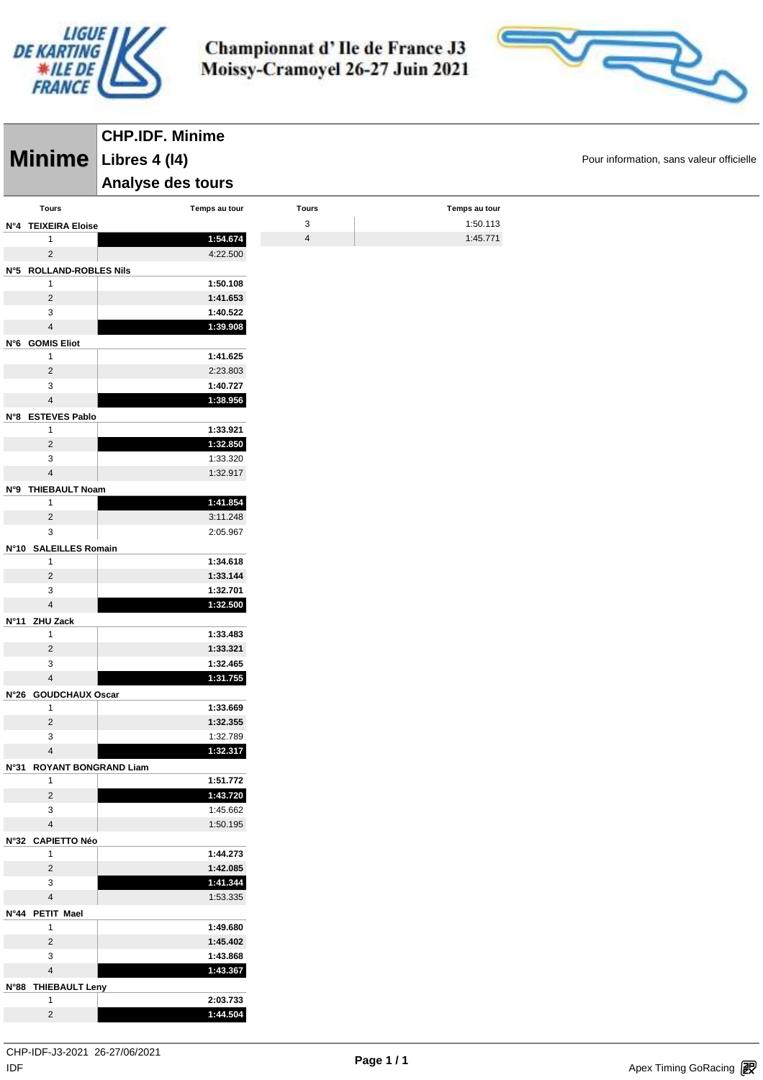



|                                     | <b>CHP.IDF. Minime</b> |                |               |                                          |
|-------------------------------------|------------------------|----------------|---------------|------------------------------------------|
|                                     | Minime Libres 4 (14)   |                |               | Pour information, sans valeur officielle |
|                                     | Analyse des tours      |                |               |                                          |
| Tours                               | Temps au tour          | <b>Tours</b>   | Temps au tour |                                          |
| N°4 TEIXEIRA Eloise                 |                        | $\mathsf 3$    | 1:50.113      |                                          |
| $\mathbf{1}$                        | 1:54.674               | $\overline{4}$ | 1:45.771      |                                          |
| $\overline{2}$                      | 4:22.500               |                |               |                                          |
| N°5 ROLLAND-ROBLES Nils             |                        |                |               |                                          |
| $\mathbf{1}$                        | 1:50.108               |                |               |                                          |
| $\overline{c}$                      | 1:41.653               |                |               |                                          |
| 3                                   | 1:40.522               |                |               |                                          |
| $\overline{\mathbf{4}}$             | 1:39.908               |                |               |                                          |
| N°6 GOMIS Eliot<br>$\mathbf{1}$     | 1:41.625               |                |               |                                          |
| $\overline{c}$                      | 2:23.803               |                |               |                                          |
| 3                                   | 1:40.727               |                |               |                                          |
| $\overline{\mathbf{4}}$             | 1:38.956               |                |               |                                          |
| N°8 ESTEVES Pablo                   |                        |                |               |                                          |
| 1                                   | 1:33.921               |                |               |                                          |
| $\overline{2}$                      | 1:32.850               |                |               |                                          |
| 3                                   | 1:33.320               |                |               |                                          |
| $\overline{\mathbf{4}}$             | 1:32.917               |                |               |                                          |
| N°9 THIEBAULT Noam                  |                        |                |               |                                          |
| $\mathbf{1}$                        | 1:41.854               |                |               |                                          |
| $\overline{c}$<br>3                 | 3:11.248<br>2:05.967   |                |               |                                          |
| N°10 SALEILLES Romain               |                        |                |               |                                          |
| $\mathbf{1}$                        | 1:34.618               |                |               |                                          |
| $\overline{c}$                      | 1:33.144               |                |               |                                          |
| 3                                   | 1:32.701               |                |               |                                          |
| $\overline{\mathbf{4}}$             | 1:32.500               |                |               |                                          |
| N°11 ZHU Zack                       |                        |                |               |                                          |
| $\mathbf{1}$                        | 1:33.483               |                |               |                                          |
| $\overline{c}$                      | 1:33.321               |                |               |                                          |
| 3<br>$\overline{\mathbf{4}}$        | 1:32.465<br>1:31.755   |                |               |                                          |
| N°26 GOUDCHAUX Oscar                |                        |                |               |                                          |
| $\mathbf{1}$                        | 1:33.669               |                |               |                                          |
| $\overline{c}$                      | 1:32.355               |                |               |                                          |
| 3                                   | 1:32.789               |                |               |                                          |
| $\overline{\mathbf{4}}$             | 1:32.317               |                |               |                                          |
| N°31 ROYANT BONGRAND Liam           |                        |                |               |                                          |
| $\mathbf{1}$                        | 1:51.772               |                |               |                                          |
| $\overline{c}$                      | 1:43.720               |                |               |                                          |
| 3<br>$\overline{\mathbf{4}}$        | 1:45.662               |                |               |                                          |
|                                     | 1:50.195               |                |               |                                          |
| N°32 CAPIETTO Néo<br>$\mathbf{1}$   | 1:44.273               |                |               |                                          |
| $\overline{c}$                      | 1:42.085               |                |               |                                          |
| 3                                   | 1:41.344               |                |               |                                          |
| $\overline{\mathbf{4}}$             | 1:53.335               |                |               |                                          |
| N°44 PETIT Mael                     |                        |                |               |                                          |
| $\mathbf{1}$                        | 1:49.680               |                |               |                                          |
| $\overline{c}$                      | 1:45.402               |                |               |                                          |
| $\mathbf{3}$                        | 1:43.868               |                |               |                                          |
| $\overline{\mathbf{4}}$             | 1:43.367               |                |               |                                          |
| N°88 THIEBAULT Leny<br>$\mathbf{1}$ | 2:03.733               |                |               |                                          |
| $\overline{c}$                      | 1:44.504               |                |               |                                          |
|                                     |                        |                |               |                                          |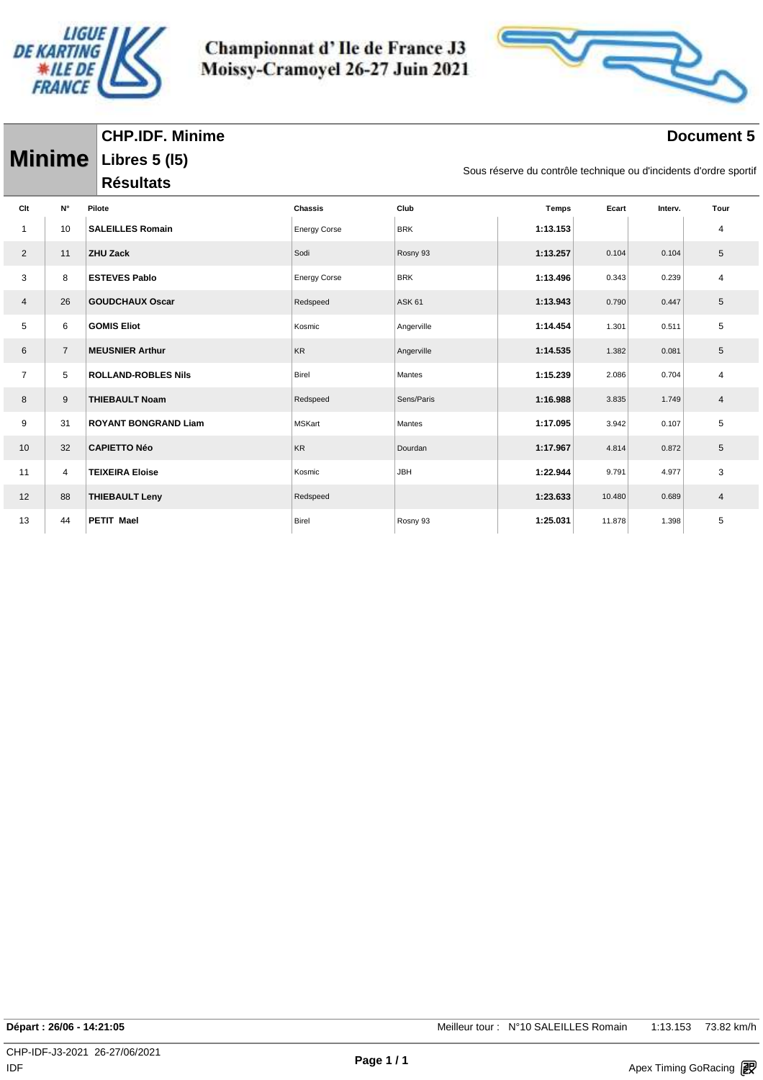

Championnat d'Ile de France J3 Moissy-Cramoyel 26-27 Juin 2021



#### **Document 5**

| <b>Minime</b>  |                | Libres 5 (15)<br>Sous réserve du contrôle technique ou d'incidents d'ordre sportif |                     |               |              |        |         |      |  |  |  |
|----------------|----------------|------------------------------------------------------------------------------------|---------------------|---------------|--------------|--------|---------|------|--|--|--|
|                |                | <b>Résultats</b>                                                                   |                     |               |              |        |         |      |  |  |  |
| Clt            | N°             | Pilote                                                                             | Chassis             | Club          | <b>Temps</b> | Ecart  | Interv. | Tour |  |  |  |
| -1             | 10             | <b>SALEILLES Romain</b>                                                            | <b>Energy Corse</b> | <b>BRK</b>    | 1:13.153     |        |         | 4    |  |  |  |
| $\overline{2}$ | 11             | <b>ZHU Zack</b>                                                                    | Sodi                | Rosny 93      | 1:13.257     | 0.104  | 0.104   | 5    |  |  |  |
| 3              | 8              | <b>ESTEVES Pablo</b>                                                               | <b>Energy Corse</b> | <b>BRK</b>    | 1:13.496     | 0.343  | 0.239   | 4    |  |  |  |
| 4              | 26             | <b>GOUDCHAUX Oscar</b>                                                             | Redspeed            | <b>ASK 61</b> | 1:13.943     | 0.790  | 0.447   | 5    |  |  |  |
| 5              | 6              | <b>GOMIS Eliot</b>                                                                 | Kosmic              | Angerville    | 1:14.454     | 1.301  | 0.511   | 5    |  |  |  |
| 6              | $\overline{7}$ | <b>MEUSNIER Arthur</b>                                                             | <b>KR</b>           | Angerville    | 1:14.535     | 1.382  | 0.081   | 5    |  |  |  |
| $\overline{7}$ | 5              | <b>ROLLAND-ROBLES Nils</b>                                                         | Birel               | Mantes        | 1:15.239     | 2.086  | 0.704   | 4    |  |  |  |
| 8              | 9              | <b>THIEBAULT Noam</b>                                                              | Redspeed            | Sens/Paris    | 1:16.988     | 3.835  | 1.749   | 4    |  |  |  |
| 9              | 31             | <b>ROYANT BONGRAND Liam</b>                                                        | <b>MSKart</b>       | Mantes        | 1:17.095     | 3.942  | 0.107   | 5    |  |  |  |
| 10             | 32             | <b>CAPIETTO Néo</b>                                                                | <b>KR</b>           | Dourdan       | 1:17.967     | 4.814  | 0.872   | 5    |  |  |  |
| 11             | $\overline{4}$ | <b>TEIXEIRA Eloise</b>                                                             | Kosmic              | JBH           | 1:22.944     | 9.791  | 4.977   | 3    |  |  |  |
| 12             | 88             | <b>THIEBAULT Leny</b>                                                              | Redspeed            |               | 1:23.633     | 10.480 | 0.689   | 4    |  |  |  |
| 13             | 44             | PETIT Mael                                                                         | <b>Birel</b>        | Rosny 93      | 1:25.031     | 11.878 | 1.398   | 5    |  |  |  |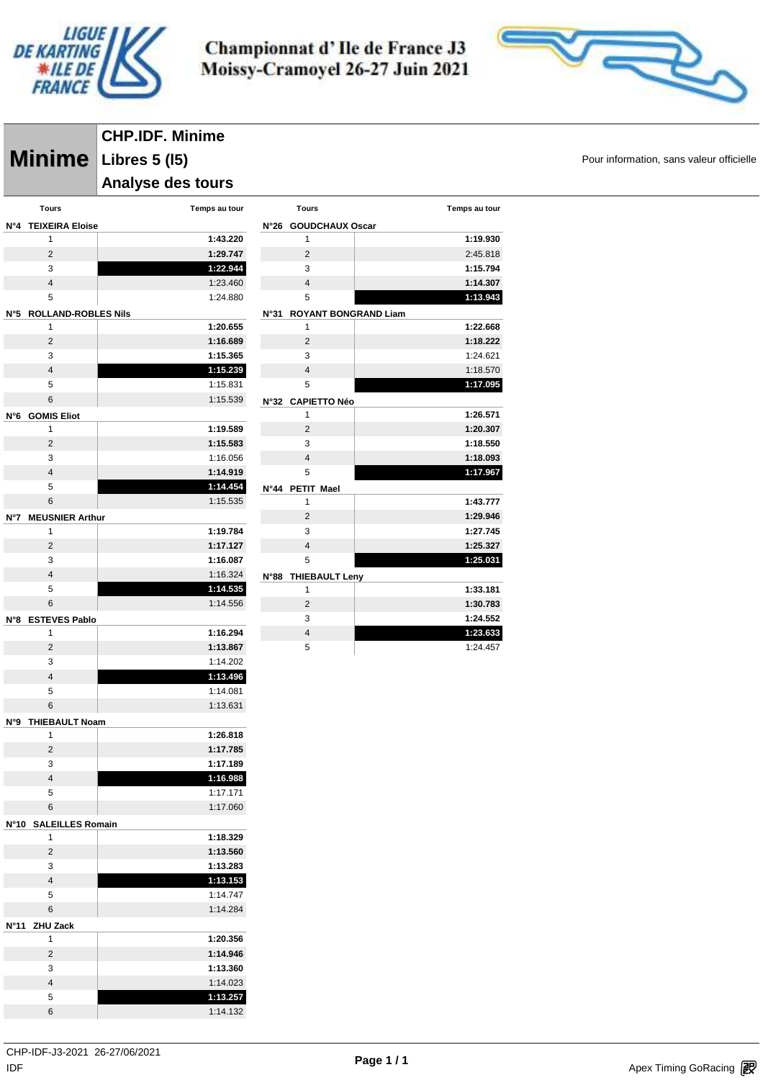



**Minime** Libres 5 (15) **Minime Pour information, sans valeur officielle CHP.IDF. Minime Analyse des tours** 

| <b>Tours</b>                                | Temps au tour |      |
|---------------------------------------------|---------------|------|
| N°4<br><b>TEIXEIRA Eloise</b>               |               | N°26 |
| 1                                           | 1:43.220      |      |
| $\overline{2}$                              | 1:29.747      |      |
| 3                                           | 1:22.944      |      |
| $\overline{4}$                              | 1:23.460      |      |
| 5                                           | 1:24.880      |      |
| N°5<br><b>ROLLAND-ROBLES Nils</b>           |               | N°31 |
| 1                                           | 1:20.655      |      |
| $\overline{2}$                              | 1:16.689      |      |
| 3                                           | 1:15.365      |      |
| $\overline{4}$                              | 1:15.239      |      |
| 5                                           | 1:15.831      |      |
| 6                                           | 1:15.539      | N°32 |
| N°6<br><b>GOMIS Eliot</b>                   |               |      |
| 1                                           | 1:19.589      |      |
| 2                                           | 1:15.583      |      |
| 3                                           | 1:16.056      |      |
| $\overline{4}$                              | 1:14.919      |      |
| 5                                           | 1:14.454      | N°44 |
| 6                                           | 1:15.535      |      |
| <b>MEUSNIER Arthur</b><br>N°7               |               |      |
| 1                                           | 1:19.784      |      |
| $\overline{2}$                              | 1:17.127      |      |
| 3                                           | 1:16.087      |      |
| $\overline{4}$                              | 1:16.324      | N°88 |
| 5                                           | 1:14.535      |      |
| 6                                           | 1:14.556      |      |
| <b>ESTEVES Pablo</b><br>N°8                 |               |      |
| 1                                           | 1:16.294      |      |
| 2                                           | 1:13.867      |      |
| 3                                           | 1:14.202      |      |
| $\overline{4}$                              | 1:13.496      |      |
| 5                                           | 1:14.081      |      |
| 6                                           | 1:13.631      |      |
| <b>THIEBAULT Noam</b><br>N°9                |               |      |
| 1                                           | 1:26.818      |      |
| 2                                           | 1:17.785      |      |
| 3                                           | 1:17.189      |      |
| 4                                           | 1:16.988      |      |
| 5                                           | 1:17.171      |      |
| 6                                           | 1:17.060      |      |
|                                             |               |      |
| <b>N°10</b><br><b>SALEILLES Romain</b><br>1 |               |      |
|                                             | 1:18.329      |      |
| 2                                           | 1:13.560      |      |
| 3                                           | 1:13.283      |      |
| 4                                           | 1:13.153      |      |
| 5                                           | 1:14.747      |      |
| 6                                           | 1:14.284      |      |
| <b>ZHU Zack</b><br>N°11                     |               |      |
| 1                                           | 1:20.356      |      |
| 2                                           | 1:14.946      |      |
| 3                                           | 1:13.360      |      |
| 4                                           | 1:14.023      |      |
| 5                                           | 1:13.257      |      |
| 6                                           | 1:14.132      |      |

|             | <b>Tours</b>                | Temps au tour |
|-------------|-----------------------------|---------------|
| N°26        | <b>GOUDCHAUX Oscar</b>      |               |
|             | 1                           | 1:19.930      |
|             | $\overline{2}$              | 2:45.818      |
|             | 3                           | 1:15.794      |
|             | $\overline{\mathbf{A}}$     | 1:14.307      |
|             | 5                           | 1:13.943      |
| <b>N°31</b> | <b>ROYANT BONGRAND Liam</b> |               |
|             | 1                           | 1:22.668      |
|             | $\overline{2}$              | 1:18.222      |
|             | 3                           | 1:24.621      |
|             | $\overline{4}$              | 1:18.570      |
|             | 5                           | 1:17.095      |
|             | N°32 CAPIETTO Néo           |               |
|             | 1                           | 1:26.571      |
|             | $\overline{2}$              | 1:20.307      |
|             | 3                           | 1:18.550      |
|             | $\overline{4}$              | 1:18.093      |
|             | 5                           | 1:17.967      |
| N°44        | PETIT Mael                  |               |
|             | 1                           | 1:43.777      |
|             | $\overline{2}$              | 1:29.946      |
|             | 3                           | 1:27.745      |
|             | $\overline{4}$              | 1:25.327      |
|             | 5                           | 1:25.031      |
| N°88        | <b>THIEBAULT Leny</b>       |               |
|             | 1                           | 1:33.181      |
|             | $\overline{2}$              | 1:30.783      |
|             | 3                           | 1:24.552      |
|             | $\overline{4}$              | 1:23.633      |

1:24.457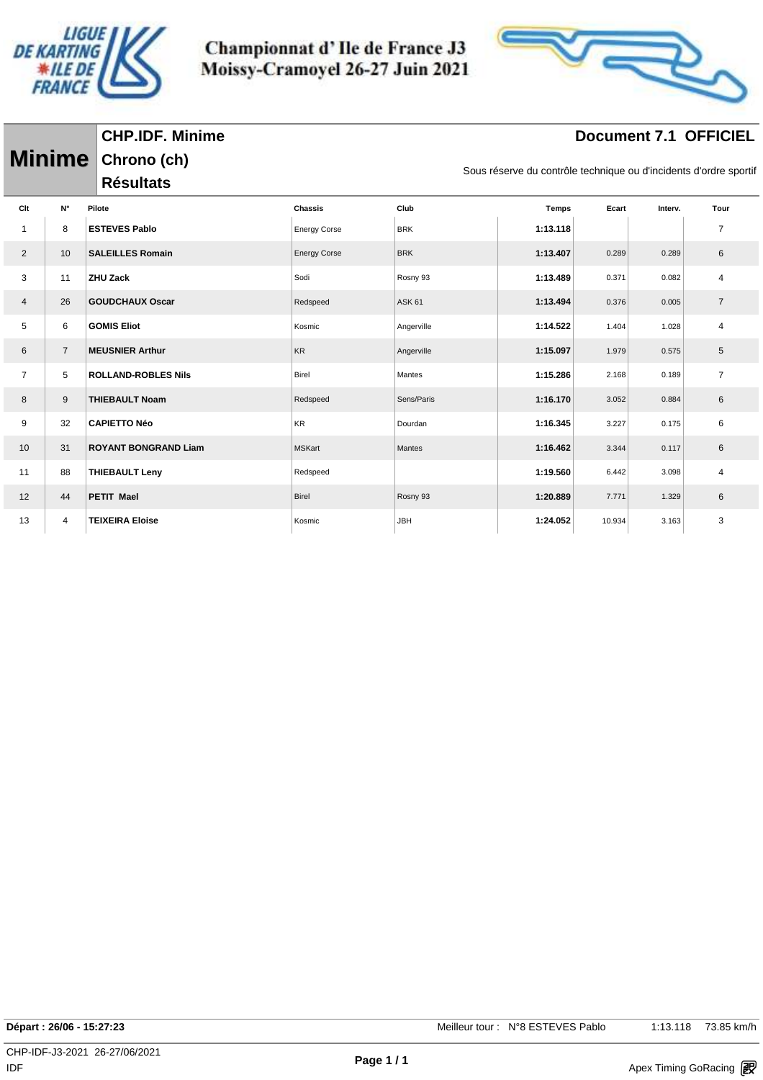

Championnat d'Ile de France J3 Moissy-Cramoyel 26-27 Juin 2021



## **Document 7.1 OFFICIEL**

|                |                | Minime Chrono (ch)          |                     |               | Sous réserve du contrôle technique ou d'incidents d'ordre sportif |       |         |                |  |
|----------------|----------------|-----------------------------|---------------------|---------------|-------------------------------------------------------------------|-------|---------|----------------|--|
|                |                | <b>Résultats</b>            |                     |               |                                                                   |       |         |                |  |
| Clt            | N°             | Pilote                      | <b>Chassis</b>      | Club          | <b>Temps</b>                                                      | Ecart | Interv. | Tour           |  |
| 1              | 8              | <b>ESTEVES Pablo</b>        | <b>Energy Corse</b> | <b>BRK</b>    | 1:13.118                                                          |       |         | $\overline{7}$ |  |
| $\overline{2}$ | 10             | <b>SALEILLES Romain</b>     | <b>Energy Corse</b> | <b>BRK</b>    | 1:13.407                                                          | 0.289 | 0.289   | 6              |  |
| 3              | 11             | ZHU Zack                    | Sodi                | Rosny 93      | 1:13.489                                                          | 0.371 | 0.082   | 4              |  |
| $\overline{4}$ | 26             | <b>GOUDCHAUX Oscar</b>      | Redspeed            | <b>ASK 61</b> | 1:13.494                                                          | 0.376 | 0.005   | $\overline{7}$ |  |
| 5              | 6              | <b>GOMIS Eliot</b>          | Kosmic              | Angerville    | 1:14.522                                                          | 1.404 | 1.028   | 4              |  |
| 6              | $\overline{7}$ | <b>MEUSNIER Arthur</b>      | <b>KR</b>           | Angerville    | 1:15.097                                                          | 1.979 | 0.575   | 5              |  |
| $\overline{7}$ | 5              | <b>ROLLAND-ROBLES Nils</b>  | Birel               | Mantes        | 1:15.286                                                          | 2.168 | 0.189   | $\overline{7}$ |  |
| 8              | 9              | <b>THIEBAULT Noam</b>       | Redspeed            | Sens/Paris    | 1:16.170                                                          | 3.052 | 0.884   | 6              |  |
| 9              | 32             | <b>CAPIETTO Néo</b>         | KR                  | Dourdan       | 1:16.345                                                          | 3.227 | 0.175   | 6              |  |
| 10             | 31             | <b>ROYANT BONGRAND Liam</b> | <b>MSKart</b>       | Mantes        | 1:16.462                                                          | 3.344 | 0.117   | 6              |  |
| 11             | 88             | <b>THIEBAULT Leny</b>       | Redspeed            |               | 1:19.560                                                          | 6.442 | 3.098   | $\overline{4}$ |  |
| 12             | 44             | <b>PETIT Mael</b>           | <b>Birel</b>        | Rosny 93      | 1:20.889                                                          | 7.771 | 1.329   | 6              |  |
|                |                |                             |                     |               |                                                                   |       |         |                |  |

13 4 **TEIXEIRA Eloise** Kosmic JBH **1:24.052** 10.934 3.163 3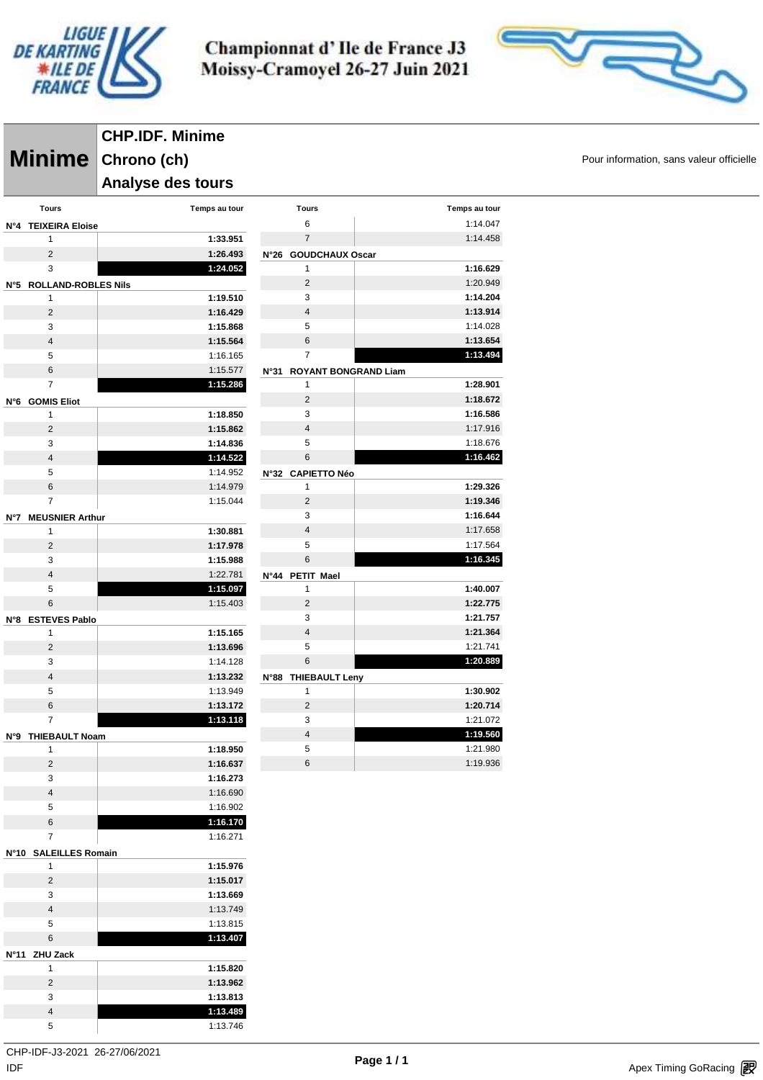

> **Tours Temps au tour** 1:14.047 1:14.458

> > **1:16.629** 1:20.949 **1:14.204 1:13.914** 1:14.028 **1:13.654 1:13.494**

 **1:28.901 1:18.672 1:16.586** 1:17.916 1:18.676 **1:16.462**

 **1:29.326 1:19.346 1:16.644** 1:17.658 1:17.564 **1:16.345**

 **1:40.007 1:22.775 1:21.757 1:21.364** 1:21.741 **1:20.889**

 **1:30.902 1:20.714** 1:21.072 **1:19.560** 1:21.980 1:19.936



**Minime** Chrono (ch) Chrono (ch) and the state of the state of the state of  $P_{\text{our information, sans valueur}$  officielle **CHP.IDF. Minime Chrono (ch) Analyse des tours** 

|     | <b>Tours</b>            | Temps au tour        | <b>Tours</b>    |                      |                           |  |
|-----|-------------------------|----------------------|-----------------|----------------------|---------------------------|--|
| N°4 | <b>TEIXEIRA Eloise</b>  |                      | 6               |                      |                           |  |
|     | $\mathbf{1}$            | 1:33.951             | $\overline{7}$  |                      |                           |  |
|     | $\overline{2}$          | 1:26.493             |                 | N°26 GOUDCHAUX Oscar |                           |  |
|     | 3                       | 1:24.052             | 1               |                      |                           |  |
|     | N°5 ROLLAND-ROBLES Nils |                      | $\overline{2}$  |                      |                           |  |
|     | $\mathbf{1}$            | 1:19.510             | 3               |                      |                           |  |
|     | $\overline{2}$          | 1:16.429             | $\overline{4}$  |                      |                           |  |
|     | 3                       | 1:15.868             | 5               |                      |                           |  |
|     | $\overline{4}$          | 1:15.564             | 6               |                      |                           |  |
|     | 5                       | 1:16.165             | 7               |                      |                           |  |
|     | 6                       | 1:15.577             |                 |                      | N°31 ROYANT BONGRAND Liam |  |
|     | 7                       | 1:15.286             | 1               |                      |                           |  |
|     | N°6 GOMIS Eliot         |                      | $\overline{2}$  |                      |                           |  |
|     | $\mathbf{1}$            | 1:18.850             | 3               |                      |                           |  |
|     | $\overline{2}$          | 1:15.862             | $\overline{4}$  |                      |                           |  |
|     | 3                       | 1:14.836             | 5               |                      |                           |  |
|     | 4                       | 1:14.522             | 6               |                      |                           |  |
|     | 5                       | 1:14.952             |                 | N°32 CAPIETTO Néo    |                           |  |
|     | 6                       | 1:14.979             | 1               |                      |                           |  |
|     | $\overline{7}$          | 1:15.044             | $\overline{2}$  |                      |                           |  |
| N°7 | <b>MEUSNIER Arthur</b>  |                      | 3               |                      |                           |  |
|     | 1                       | 1:30.881             | $\overline{4}$  |                      |                           |  |
|     | $\overline{2}$          | 1:17.978             | 5               |                      |                           |  |
|     | 3                       | 1:15.988             | 6               |                      |                           |  |
|     | $\overline{4}$          | 1:22.781             | N°44 PETIT Mael |                      |                           |  |
|     | 5                       | 1:15.097             | $\mathbf{1}$    |                      |                           |  |
|     | 6                       | 1:15.403             | $\overline{2}$  |                      |                           |  |
|     | N°8 ESTEVES Pablo       |                      | 3               |                      |                           |  |
|     | 1                       | 1:15.165             | $\overline{4}$  |                      |                           |  |
|     | $\overline{2}$          | 1:13.696             | 5               |                      |                           |  |
|     | 3                       | 1:14.128             | 6               |                      |                           |  |
|     | $\overline{4}$<br>5     | 1:13.232<br>1:13.949 | 1               | N°88 THIEBAULT Leny  |                           |  |
|     | 6                       | 1:13.172             | $\overline{2}$  |                      |                           |  |
|     | $\overline{7}$          | 1:13.118             | 3               |                      |                           |  |
|     | N°9 THIEBAULT Noam      |                      | $\overline{4}$  |                      |                           |  |
|     | 1                       | 1:18.950             | 5               |                      |                           |  |
|     | $\overline{2}$          | 1:16.637             | 6               |                      |                           |  |
|     | 3                       | 1:16.273             |                 |                      |                           |  |
|     | 4                       | 1:16.690             |                 |                      |                           |  |
|     | $\sqrt{5}$              | 1:16.902             |                 |                      |                           |  |
|     | 6                       | 1:16.170             |                 |                      |                           |  |
|     | 7                       | 1:16.271             |                 |                      |                           |  |
|     | N°10 SALEILLES Romain   |                      |                 |                      |                           |  |
|     | 1                       | 1:15.976             |                 |                      |                           |  |
|     | $\overline{c}$          | 1:15.017             |                 |                      |                           |  |
|     | 3                       | 1:13.669             |                 |                      |                           |  |
|     | $\overline{4}$          | 1:13.749             |                 |                      |                           |  |
|     | $\sqrt{5}$              | 1:13.815             |                 |                      |                           |  |
|     | $\,6$                   | 1:13.407             |                 |                      |                           |  |
|     | N°11 ZHU Zack           |                      |                 |                      |                           |  |
|     | 1                       | 1:15.820             |                 |                      |                           |  |
|     | $\overline{2}$          | 1:13.962             |                 |                      |                           |  |
|     | 3                       | 1:13.813             |                 |                      |                           |  |
|     | $\overline{\mathbf{4}}$ | 1:13.489             |                 |                      |                           |  |
|     | 5                       | 1:13.746             |                 |                      |                           |  |
|     |                         |                      |                 |                      |                           |  |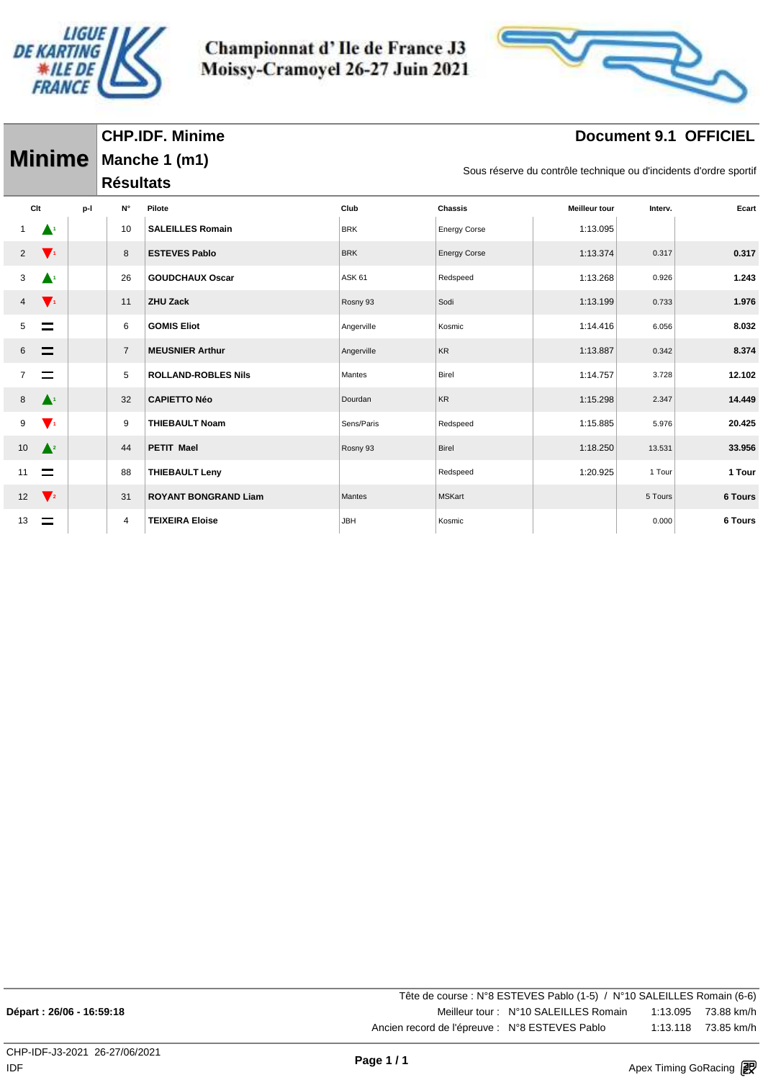

Championnat d'Ile de France J3 Moissy-Cramoyel 26-27 Juin 2021



## **Document 9.1 OFFICIEL**

| <b>Minime</b>  |                    |     | <b>Résultats</b> | Manche 1 (m1)               |               | Sous réserve du contrôle technique ou d'incidents d'ordre sportif |                      |         |                |  |
|----------------|--------------------|-----|------------------|-----------------------------|---------------|-------------------------------------------------------------------|----------------------|---------|----------------|--|
| Clt            |                    | p-l | N°               | Pilote                      | Club          | Chassis                                                           | <b>Meilleur tour</b> | Interv. | Ecart          |  |
|                | $\blacktriangle^1$ |     | 10               | <b>SALEILLES Romain</b>     | <b>BRK</b>    | <b>Energy Corse</b>                                               | 1:13.095             |         |                |  |
| $\overline{2}$ | $\mathbf{V}$       |     | 8                | <b>ESTEVES Pablo</b>        | <b>BRK</b>    | <b>Energy Corse</b>                                               | 1:13.374             | 0.317   | 0.317          |  |
| 3              | $\blacktriangle^1$ |     | 26               | <b>GOUDCHAUX Oscar</b>      | <b>ASK 61</b> | Redspeed                                                          | 1:13.268             | 0.926   | 1.243          |  |
| 4              | $\mathbf{V}$       |     | 11               | <b>ZHU Zack</b>             | Rosny 93      | Sodi                                                              | 1:13.199             | 0.733   | 1.976          |  |
| 5              | $\equiv$           |     | 6                | <b>GOMIS Eliot</b>          | Angerville    | Kosmic                                                            | 1:14.416             | 6.056   | 8.032          |  |
| 6              | $\equiv$           |     | $\overline{7}$   | <b>MEUSNIER Arthur</b>      | Angerville    | <b>KR</b>                                                         | 1:13.887             | 0.342   | 8.374          |  |
|                | $\equiv$           |     | 5                | <b>ROLLAND-ROBLES Nils</b>  | Mantes        | <b>Birel</b>                                                      | 1:14.757             | 3.728   | 12.102         |  |
| 8              | $\blacktriangle^i$ |     | 32               | <b>CAPIETTO Néo</b>         | Dourdan       | <b>KR</b>                                                         | 1:15.298             | 2.347   | 14.449         |  |
| 9              | $\mathbf{V}$       |     | 9                | <b>THIEBAULT Noam</b>       | Sens/Paris    | Redspeed                                                          | 1:15.885             | 5.976   | 20.425         |  |
| 10             | $\triangle^2$      |     | 44               | <b>PETIT Mael</b>           | Rosny 93      | Birel                                                             | 1:18.250             | 13.531  | 33.956         |  |
| 11             | $\equiv$           |     | 88               | <b>THIEBAULT Leny</b>       |               | Redspeed                                                          | 1:20.925             | 1 Tour  | 1 Tour         |  |
| 12             | $\sqrt{2}$         |     | 31               | <b>ROYANT BONGRAND Liam</b> | Mantes        | <b>MSKart</b>                                                     |                      | 5 Tours | <b>6 Tours</b> |  |
| 13             |                    |     | 4                | <b>TEIXEIRA Eloise</b>      | <b>JBH</b>    | Kosmic                                                            |                      | 0.000   | 6 Tours        |  |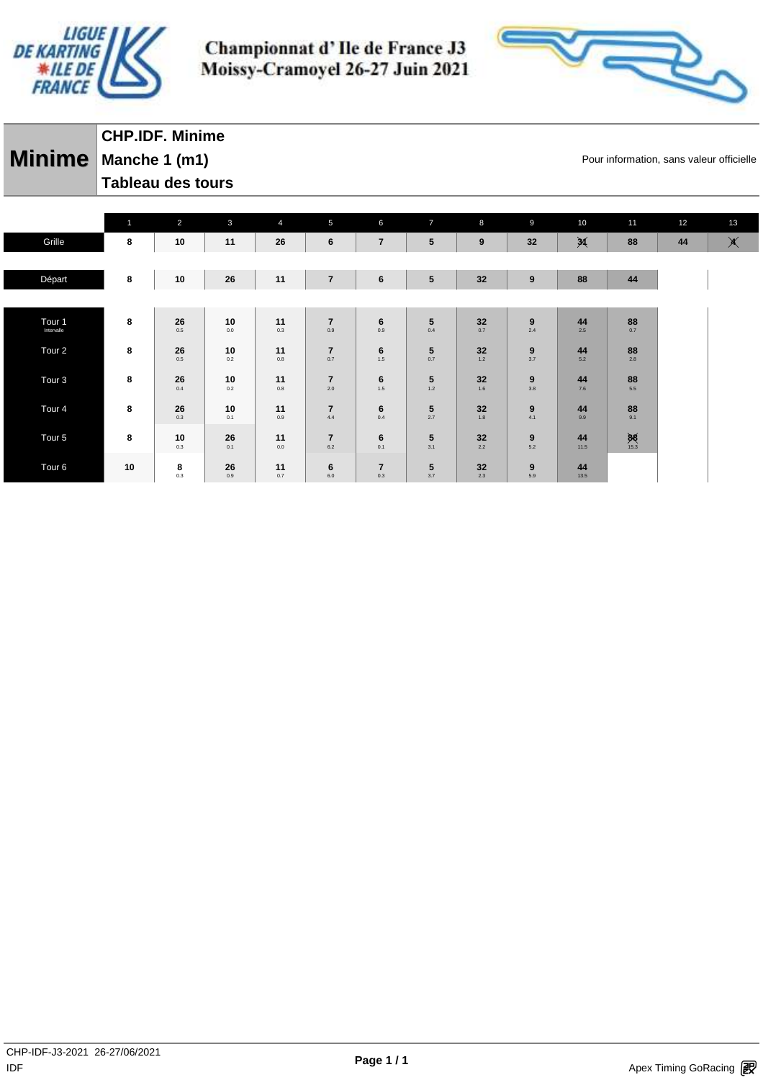



| CHP.IDF. Minime      |
|----------------------|
| Minime Manche 1 (m1) |
| Tableau des tours    |

Pour information, sans valeur officielle

|                                 | $\mathbf{1}$ | 2         | $\mathbf{3}$  | $\overline{4}$ | $5\phantom{.0}$       | 6                     | $\overline{7}$  | 8         | $\overline{9}$ | 10                     | 11                | 12 | 13            |
|---------------------------------|--------------|-----------|---------------|----------------|-----------------------|-----------------------|-----------------|-----------|----------------|------------------------|-------------------|----|---------------|
| Grille                          | 8            | 10        | 11            | 26             | 6                     | $\overline{7}$        | 5               | 9         | 32             | $\cancel{\mathcal{A}}$ | 88                | 44 | $\blacktimes$ |
|                                 |              |           |               |                |                       |                       |                 |           |                |                        |                   |    |               |
| Départ                          | 8            | 10        | 26            | 11             | $\overline{7}$        | 6                     | $5\phantom{.0}$ | 32        | 9              | 88                     | 44                |    |               |
|                                 |              |           |               |                |                       |                       |                 |           |                |                        |                   |    |               |
| Tour <sub>1</sub><br>Intervalle | 8            | 26<br>0.5 | 10<br>$0.0\,$ | 11<br>0.3      | $\overline{7}$<br>0.9 | 6<br>0.9              | 5<br>0.4        | 32<br>0.7 | 9<br>2.4       | 44<br>2.5              | 88<br>0.7         |    |               |
| Tour <sub>2</sub>               | 8            | 26<br>0.5 | 10<br>$0.2\,$ | 11<br>0.8      | $\overline{7}$<br>0.7 | 6<br>1.5              | 5<br>0.7        | 32<br>1.2 | 9<br>3.7       | 44<br>5.2              | 88<br>$2.8\,$     |    |               |
| Tour <sub>3</sub>               | 8            | 26<br>0.4 | 10<br>0.2     | 11<br>0.8      | $\overline{7}$<br>2.0 | 6<br>1.5              | 5<br>$1.2$      | 32<br>1.6 | 9<br>3.8       | 44<br>7.6              | 88<br>5.5         |    |               |
| Tour <sub>4</sub>               | 8            | 26<br>0.3 | 10<br>0.1     | 11<br>0.9      | $\overline{7}$<br>4.4 | 6<br>0.4              | 5<br>2.7        | 32<br>1.8 | 9<br>4.1       | 44<br>9.9              | 88<br>9.1         |    |               |
| Tour <sub>5</sub>               | 8            | 10<br>0.3 | 26<br>0.1     | 11<br>0.0      | $\overline{7}$<br>6.2 | 6<br>0.1              | 5<br>3.1        | 32<br>2.2 | 9<br>5.2       | 44<br>11.5             | $\frac{88}{15.3}$ |    |               |
| Tour <sub>6</sub>               | 10           | 8<br>0.3  | 26<br>0.9     | 11<br>0.7      | 6<br>6.0              | $\overline{7}$<br>0.3 | 5<br>3.7        | 32<br>2.3 | 9<br>5.9       | 44<br>13.5             |                   |    |               |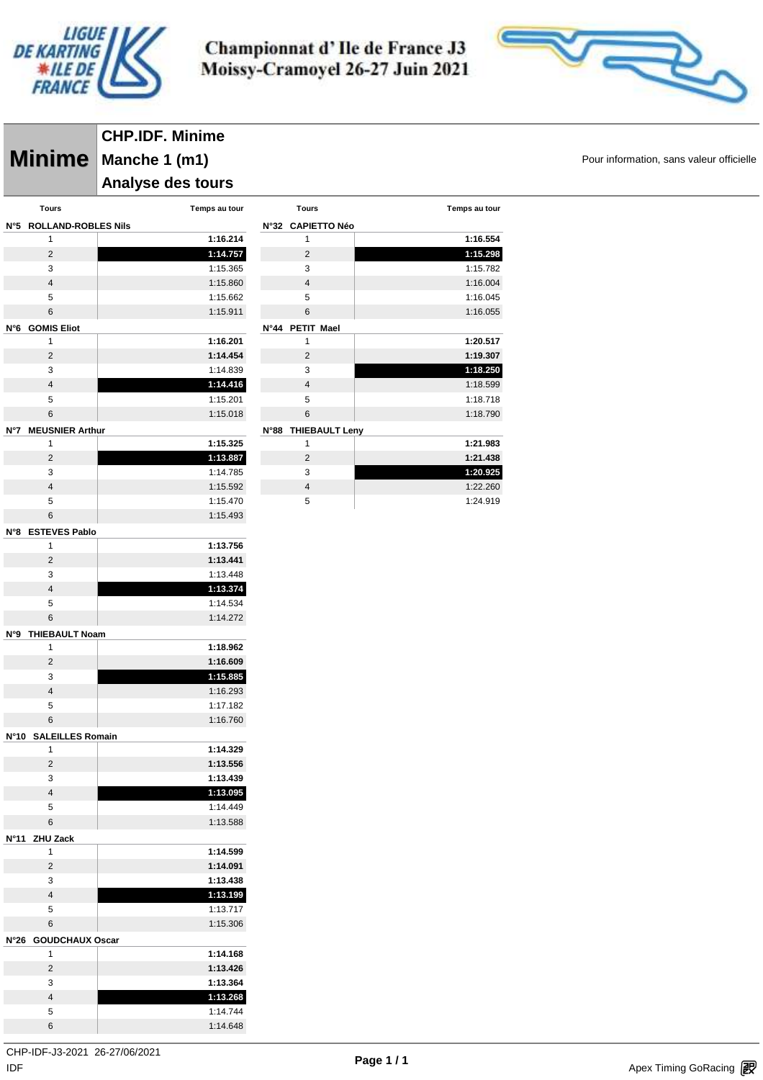

 $N°5$ 

**N°6 GOMIS Eliot**

**N°7** 

Championnat d'Ile de France J3 Moissy-Cramoyel 26-27 Juin 2021

**Tours Temps au tour**

 **1:16.554 1:15.298** 1:15.782 1:16.004 1:16.045 1:16.055

 **1:20.517 1:19.307 1:18.250** 1:18.599 1:18.718 1:18.790

 **1:21.983 1:21.438 1:20.925** 1:22.260 1:24.919



**Minime** Manche 1 (m1) **Minime Pour information, sans valeur officielle CHP.IDF. Minime Manche 1 (m1) Analyse des tours** 

| Tours                      | Temps au tour |             | Tours               |  |  |
|----------------------------|---------------|-------------|---------------------|--|--|
| <b>ROLLAND-ROBLES Nils</b> |               |             | N°32 CAPIETTO Néo   |  |  |
| 1                          | 1:16.214      |             | 1                   |  |  |
| $\overline{2}$             | 1:14.757      |             | 2                   |  |  |
| 3                          | 1:15.365      |             | 3                   |  |  |
| $\overline{4}$             | 1:15.860      |             | 4                   |  |  |
| 5                          | 1:15.662      |             | 5                   |  |  |
| 6                          | 1:15.911      |             | 6                   |  |  |
| <b>GOMIS Eliot</b>         |               | <b>N°44</b> | <b>PETIT Mael</b>   |  |  |
|                            | 1:16.201      |             | 1                   |  |  |
| $\overline{2}$             | 1:14.454      |             | 2                   |  |  |
| 3                          | 1:14.839      |             | 3                   |  |  |
| $\overline{4}$             | 1:14.416      |             | 4                   |  |  |
| 5                          | 1:15.201      |             | 5                   |  |  |
| 6                          | 1:15.018      |             | 6                   |  |  |
| <b>MEUSNIER Arthur</b>     |               |             | N°88 THIEBAULT Leny |  |  |
|                            | 1:15.325      |             |                     |  |  |

|                          | 1:15.325                                          |
|--------------------------|---------------------------------------------------|
| 2                        | 1:13.887                                          |
| 3                        | 1:14.785                                          |
|                          | 1:15.592                                          |
| 5                        | 1:15.470                                          |
| 6                        | 1:15.493                                          |
| N°8 ESTEVES Pablo        |                                                   |
| $\overline{\phantom{a}}$ | $\lambda$ $\lambda$ $\lambda$ $\lambda$ $\lambda$ |

| 1                    | 1:13.756 |
|----------------------|----------|
| 2                    | 1:13.441 |
| 3                    | 1:13.448 |
| 4                    | 1:13.374 |
| 5                    | 1:14.534 |
| 6                    | 1:14.272 |
| <b>DAILT Measure</b> |          |

1:16.760

| N°9 THIEBAULT Noam |  |
|--------------------|--|
|                    |  |

|               | 1:18.962 |  |
|---------------|----------|--|
| $\mathcal{P}$ | 1:16.609 |  |
| 3             | 1:15.885 |  |
|               | 1:16.293 |  |
| ∽             | 1:17.182 |  |

| N°10 SALEILLES Romain |  |
|-----------------------|--|

|               | 1:14.329   |
|---------------|------------|
| 2             | 1:13.556   |
| 3             | 1:13.439   |
| 4             | 1:13.095   |
| 5             | 1:14.449   |
| 6             | 1:13.588   |
| N°11 ZHU Zack |            |
|               | $1.11$ Foo |

|                      | 1:14.168 |
|----------------------|----------|
| N°26 GOUDCHAUX Oscar |          |
| 6                    | 1:15.306 |
| 5                    | 1:13.717 |
| 4                    | 1:13.199 |
| 3                    | 1:13.438 |
| 2                    | 1:14.091 |
|                      | 1:14.599 |

| 2 | 1:13.426 |
|---|----------|
| 3 | 1:13.364 |
|   | 1:13.268 |
| 5 | 1:14.744 |
| 6 | 1:14.648 |
|   |          |

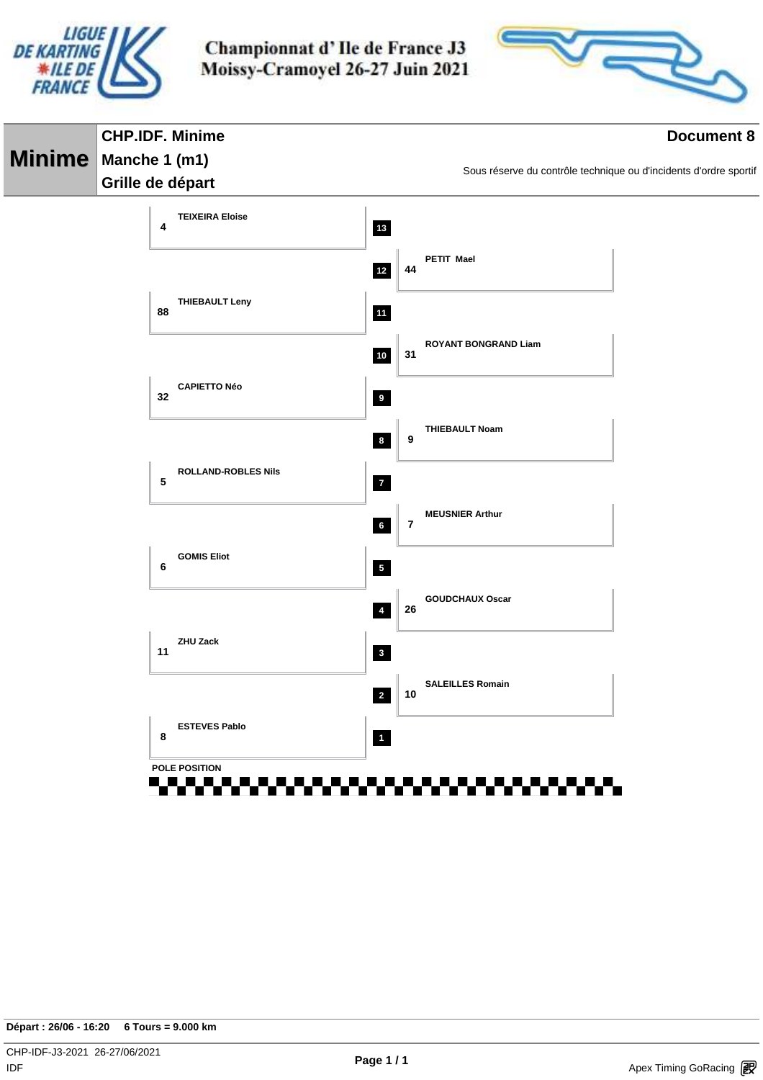



|               | <b>CHP.IDF. Minime</b>                                 | <b>Document 8</b>       |         |                                                                   |  |  |  |
|---------------|--------------------------------------------------------|-------------------------|---------|-------------------------------------------------------------------|--|--|--|
| <b>Minime</b> | Manche 1 (m1)                                          |                         |         |                                                                   |  |  |  |
|               | Grille de départ                                       |                         |         | Sous réserve du contrôle technique ou d'incidents d'ordre sportif |  |  |  |
|               | <b>TEIXEIRA Eloise</b><br>4                            | $13$                    |         |                                                                   |  |  |  |
|               |                                                        | $12$                    | 44      | PETIT Mael                                                        |  |  |  |
|               | <b>THIEBAULT Leny</b><br>88                            | 11                      |         |                                                                   |  |  |  |
|               |                                                        | $10$                    | 31      | <b>ROYANT BONGRAND Liam</b>                                       |  |  |  |
|               | <b>CAPIETTO Néo</b><br>32                              | 9                       |         |                                                                   |  |  |  |
|               |                                                        | $\bf{8}$                | 9       | <b>THIEBAULT Noam</b>                                             |  |  |  |
|               | <b>ROLLAND-ROBLES Nils</b><br>5                        | $\overline{7}$          |         |                                                                   |  |  |  |
|               |                                                        | $6\overline{6}$         | $\bf 7$ | <b>MEUSNIER Arthur</b>                                            |  |  |  |
|               | <b>GOMIS Eliot</b><br>6                                | $\overline{\mathbf{5}}$ |         |                                                                   |  |  |  |
|               |                                                        | $\overline{\mathbf{4}}$ | 26      | <b>GOUDCHAUX Oscar</b>                                            |  |  |  |
|               | ZHU Zack<br>11                                         | $\overline{\mathbf{3}}$ |         |                                                                   |  |  |  |
|               |                                                        | $\overline{2}$          | 10      | <b>SALEILLES Romain</b>                                           |  |  |  |
|               | <b>ESTEVES Pablo</b><br>8                              | $\overline{\mathbf{1}}$ |         |                                                                   |  |  |  |
|               | POLE POSITION<br><u>-------------------------</u><br>. |                         |         | .<br>.                                                            |  |  |  |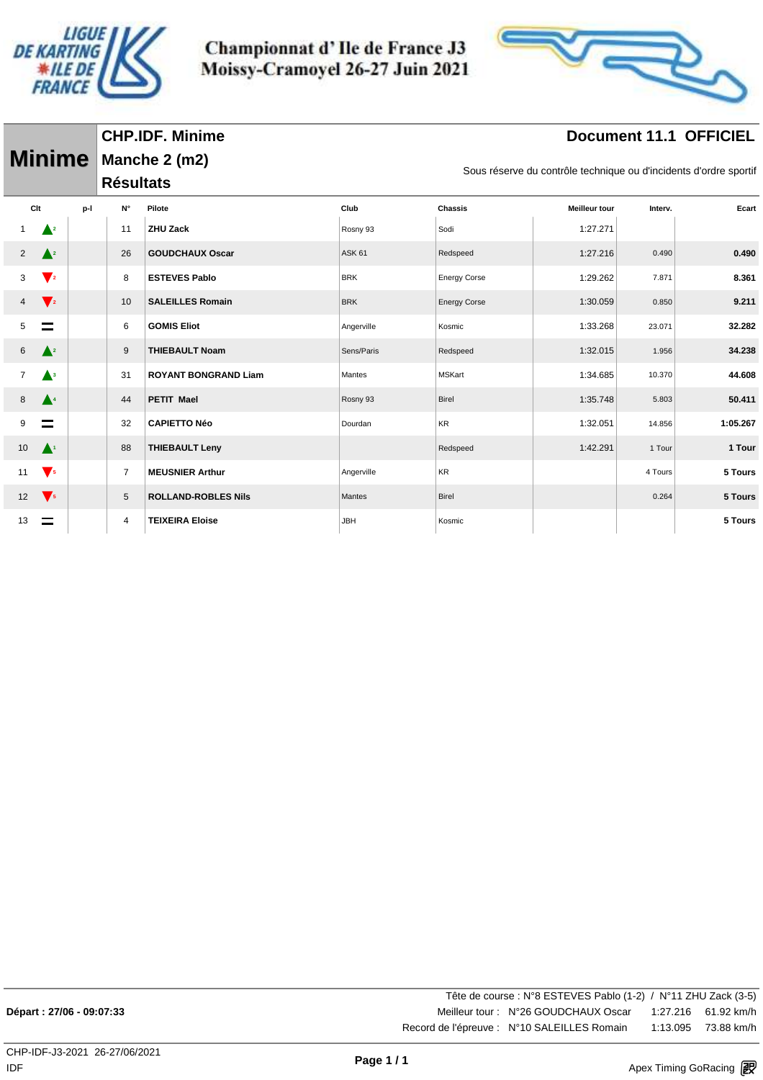



# **Document 11.1 OFFICIEL**

|                |                        |     |                  | <b>CHP.IDF. Minime</b>      |               |                                                                   |                      |         | <b>Document 11.1 OFFICIEL</b> |  |  |  |  |
|----------------|------------------------|-----|------------------|-----------------------------|---------------|-------------------------------------------------------------------|----------------------|---------|-------------------------------|--|--|--|--|
|                | <b>Minime</b>          |     |                  | Manche 2 (m2)               |               |                                                                   |                      |         |                               |  |  |  |  |
|                |                        |     | <b>Résultats</b> |                             |               | Sous réserve du contrôle technique ou d'incidents d'ordre sportif |                      |         |                               |  |  |  |  |
| Clt            |                        | p-l | N°               | Pilote                      | Club          | <b>Chassis</b>                                                    | <b>Meilleur tour</b> | Interv. | Ecart                         |  |  |  |  |
|                | $\blacktriangle^2$     |     | 11               | <b>ZHU Zack</b>             | Rosny 93      | Sodi                                                              | 1:27.271             |         |                               |  |  |  |  |
| $\overline{2}$ | $\triangle^2$          |     | 26               | <b>GOUDCHAUX Oscar</b>      | <b>ASK 61</b> | Redspeed                                                          | 1:27.216             | 0.490   | 0.490                         |  |  |  |  |
| 3              | $\blacktriangledown_2$ |     | 8                | <b>ESTEVES Pablo</b>        | <b>BRK</b>    | <b>Energy Corse</b>                                               | 1:29.262             | 7.871   | 8.361                         |  |  |  |  |
| 4              | $\blacktriangledown_2$ |     | 10               | <b>SALEILLES Romain</b>     | <b>BRK</b>    | <b>Energy Corse</b>                                               | 1:30.059             | 0.850   | 9.211                         |  |  |  |  |
| 5              | ═                      |     | 6                | <b>GOMIS Eliot</b>          | Angerville    | Kosmic                                                            | 1:33.268             | 23.071  | 32.282                        |  |  |  |  |
| 6              | $\triangle^2$          |     | 9                | <b>THIEBAULT Noam</b>       | Sens/Paris    | Redspeed                                                          | 1:32.015             | 1.956   | 34.238                        |  |  |  |  |
| $\overline{7}$ | $\blacktriangle^3$     |     | 31               | <b>ROYANT BONGRAND Liam</b> | Mantes        | <b>MSKart</b>                                                     | 1:34.685             | 10.370  | 44.608                        |  |  |  |  |
| 8              | $\blacktriangle^4$     |     | 44               | <b>PETIT Mael</b>           | Rosny 93      | <b>Birel</b>                                                      | 1:35.748             | 5.803   | 50.411                        |  |  |  |  |
| 9              | $\equiv$               |     | 32               | <b>CAPIETTO Néo</b>         | Dourdan       | <b>KR</b>                                                         | 1:32.051             | 14.856  | 1:05.267                      |  |  |  |  |
| 10             | $\blacktriangle^1$     |     | 88               | <b>THIEBAULT Leny</b>       |               | Redspeed                                                          | 1:42.291             | 1 Tour  | 1 Tour                        |  |  |  |  |
| 11             | $\sqrt{5}$             |     | $\overline{7}$   | <b>MEUSNIER Arthur</b>      | Angerville    | KR                                                                |                      | 4 Tours | 5 Tours                       |  |  |  |  |
| 12             | $\sqrt{5}$             |     | 5                | <b>ROLLAND-ROBLES Nils</b>  | Mantes        | Birel                                                             |                      | 0.264   | 5 Tours                       |  |  |  |  |
| 13             |                        |     | 4                | <b>TEIXEIRA Eloise</b>      | <b>JBH</b>    | Kosmic                                                            |                      |         | 5 Tours                       |  |  |  |  |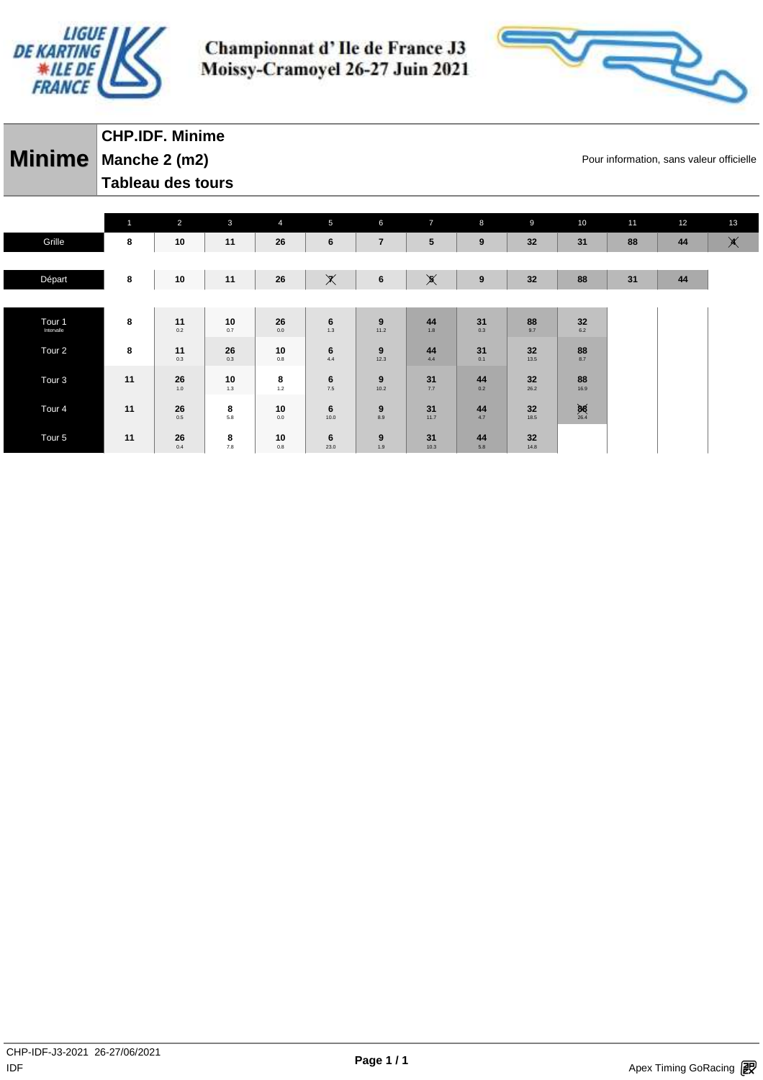



**Minime** Manche 2 (m2) **Manche 2 (m2)** Pour information, sans valeur officielle **CHP.IDF. Minime Tableau des tours** 

|                                 | $\overline{1}$ | $\overline{2}$ | $\mathbf{3}$                                     | $\overline{4}$ | 5                       | 6                       | $\overline{7}$        | 8                | 9          | 10                | 11 | 12 | 13            |
|---------------------------------|----------------|----------------|--------------------------------------------------|----------------|-------------------------|-------------------------|-----------------------|------------------|------------|-------------------|----|----|---------------|
| Grille                          | 8              | 10             | 11                                               | 26             | 6                       | $\overline{\mathbf{r}}$ | 5                     | $\boldsymbol{9}$ | 32         | 31                | 88 | 44 | $\blacktimes$ |
|                                 |                |                |                                                  |                |                         |                         |                       |                  |            |                   |    |    |               |
| Départ                          | 8              | 10             | 11                                               | 26             | $\times$                | 6                       | $\cancel{\mathbf{x}}$ | $\pmb{9}$        | 32         | 88                | 31 | 44 |               |
|                                 |                |                |                                                  |                |                         |                         |                       |                  |            |                   |    |    |               |
| Tour <sub>1</sub><br>Intervalle | 8              | 11<br>0.2      | 10<br>0.7                                        | 26<br>0.0      | $6\phantom{1}6$<br>1.3  | 9<br>11.2               | 44<br>1.8             | 31<br>0.3        | 88<br>9.7  | $32\,$<br>6.2     |    |    |               |
| Tour <sub>2</sub>               | 8              | 11<br>0.3      | 26<br>0.3                                        | 10<br>0.8      | 6<br>4.4                | 9<br>12.3               | 44<br>4.4             | 31<br>0.1        | 32<br>13.5 | 88<br>8.7         |    |    |               |
| Tour <sub>3</sub>               | 11             | 26<br>1.0      | 10<br>1.3                                        | 8<br>1.2       | $6 \atop 7.5$           | 9<br>10.2               | 31<br>7.7             | 44<br>0.2        | 32<br>26.2 | 88<br>16.9        |    |    |               |
| Tour <sub>4</sub>               | 11             | 26<br>0.5      | $\begin{array}{c} \mathbf{8} \\ 5.8 \end{array}$ | 10<br>0.0      | $6\phantom{1}6$<br>10.0 | 9<br>8.9                | 31<br>11.7            | 44<br>4.7        | 32<br>18.5 | $\frac{88}{26.4}$ |    |    |               |
| Tour <sub>5</sub>               | 11             | 26<br>0.4      | 8<br>7.8                                         | 10<br>0.8      | 6<br>23.0               | 9<br>1.9                | 31<br>10.3            | 44<br>5.8        | 32<br>14.8 |                   |    |    |               |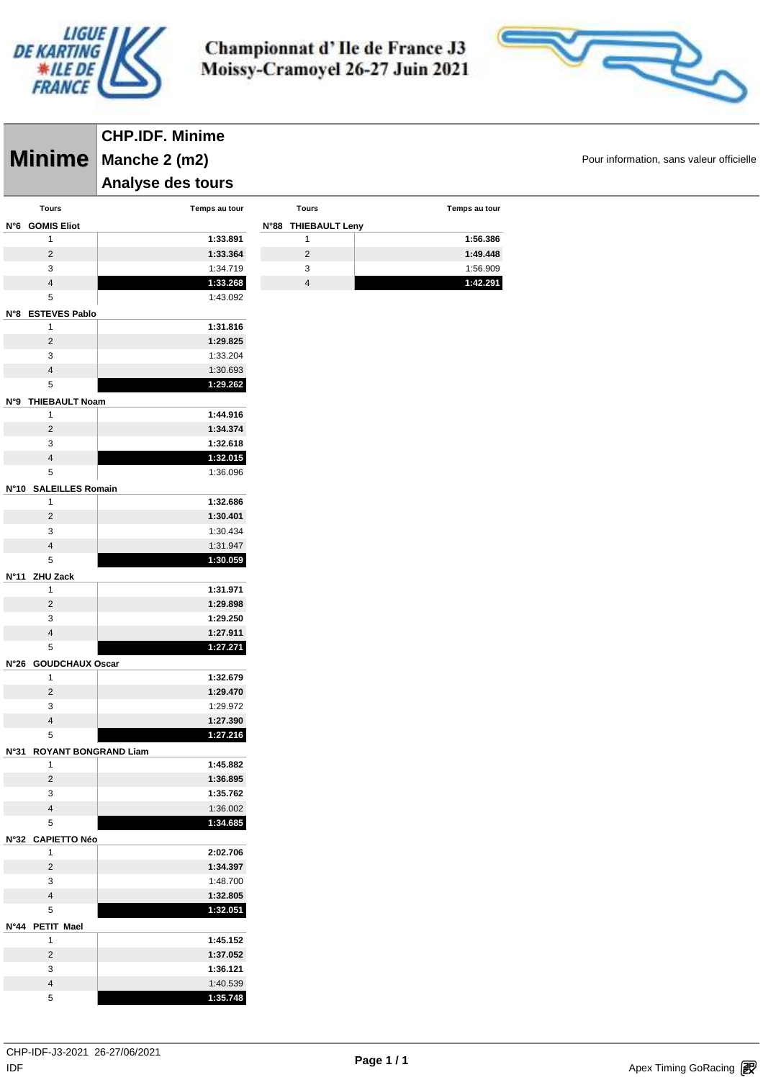



|                 |                                | <b>CHP.IDF. Minime</b> |                     |               |                                          |
|-----------------|--------------------------------|------------------------|---------------------|---------------|------------------------------------------|
|                 | <b>Minime</b>                  | Manche 2 (m2)          |                     |               | Pour information, sans valeur officielle |
|                 |                                | Analyse des tours      |                     |               |                                          |
|                 | <b>Tours</b>                   | Temps au tour          | <b>Tours</b>        | Temps au tour |                                          |
| N°6 GOMIS Eliot |                                |                        | N°88 THIEBAULT Leny |               |                                          |
|                 | $\mathbf{1}$                   | 1:33.891               | $\mathbf{1}$        | 1:56.386      |                                          |
|                 | $\overline{c}$                 | 1:33.364               | $\overline{c}$      | 1:49.448      |                                          |
|                 | 3                              | 1:34.719               | 3                   | 1:56.909      |                                          |
|                 | $\overline{4}$                 | 1:33.268               | $\overline{4}$      | 1:42.291      |                                          |
|                 | $\sqrt{5}$                     | 1:43.092               |                     |               |                                          |
|                 | N°8 ESTEVES Pablo              |                        |                     |               |                                          |
|                 | $\mathbf{1}$                   | 1:31.816               |                     |               |                                          |
|                 | $\overline{c}$                 | 1:29.825               |                     |               |                                          |
|                 | 3<br>$\overline{4}$            | 1:33.204<br>1:30.693   |                     |               |                                          |
|                 | 5                              | 1:29.262               |                     |               |                                          |
|                 | N°9 THIEBAULT Noam             |                        |                     |               |                                          |
|                 | $\mathbf{1}$                   | 1:44.916               |                     |               |                                          |
|                 | $\overline{c}$                 | 1:34.374               |                     |               |                                          |
|                 | $\sqrt{3}$                     | 1:32.618               |                     |               |                                          |
|                 | $\overline{4}$                 | 1:32.015               |                     |               |                                          |
|                 | $\,$ 5 $\,$                    | 1:36.096               |                     |               |                                          |
|                 | N°10 SALEILLES Romain          |                        |                     |               |                                          |
|                 | $\mathbf{1}$                   | 1:32.686               |                     |               |                                          |
|                 | $\overline{c}$                 | 1:30.401               |                     |               |                                          |
|                 | 3<br>$\overline{\mathbf{4}}$   | 1:30.434               |                     |               |                                          |
|                 | 5                              | 1:31.947<br>1:30.059   |                     |               |                                          |
| N°11 ZHU Zack   |                                |                        |                     |               |                                          |
|                 | $\mathbf{1}$                   | 1:31.971               |                     |               |                                          |
|                 | $\overline{c}$                 | 1:29.898               |                     |               |                                          |
|                 | 3                              | 1:29.250               |                     |               |                                          |
|                 | $\overline{4}$                 | 1:27.911               |                     |               |                                          |
|                 | $\,$ 5 $\,$                    | 1:27.271               |                     |               |                                          |
|                 | N°26 GOUDCHAUX Oscar           |                        |                     |               |                                          |
|                 | $\mathbf{1}$                   | 1:32.679               |                     |               |                                          |
|                 | $\overline{2}$<br>3            | 1:29.470<br>1:29.972   |                     |               |                                          |
|                 | $\overline{4}$                 | 1:27.390               |                     |               |                                          |
|                 | $\sqrt{5}$                     | 1:27.216               |                     |               |                                          |
|                 | N°31 ROYANT BONGRAND Liam      |                        |                     |               |                                          |
|                 | $\mathbf{1}$                   | 1:45.882               |                     |               |                                          |
|                 | $\overline{2}$                 | 1:36.895               |                     |               |                                          |
|                 | 3                              | 1:35.762               |                     |               |                                          |
|                 | $\overline{4}$                 | 1:36.002               |                     |               |                                          |
|                 | 5                              | 1:34.685               |                     |               |                                          |
|                 | Nº32 CAPIETTO Néo              |                        |                     |               |                                          |
|                 | $\mathbf{1}$<br>$\overline{2}$ | 2:02.706<br>1:34.397   |                     |               |                                          |
|                 | $\mathbf{3}$                   | 1:48.700               |                     |               |                                          |
|                 | $\overline{4}$                 | 1:32.805               |                     |               |                                          |
|                 | $\,$ 5 $\,$                    | 1:32.051               |                     |               |                                          |
| N°44 PETIT Mael |                                |                        |                     |               |                                          |
|                 | $\mathbf{1}$                   | 1:45.152               |                     |               |                                          |
|                 | $\overline{2}$                 | 1:37.052               |                     |               |                                          |
|                 | 3                              | 1:36.121               |                     |               |                                          |
|                 | $\overline{\mathbf{4}}$        | 1:40.539               |                     |               |                                          |
|                 | $\sqrt{5}$                     | 1:35.748               |                     |               |                                          |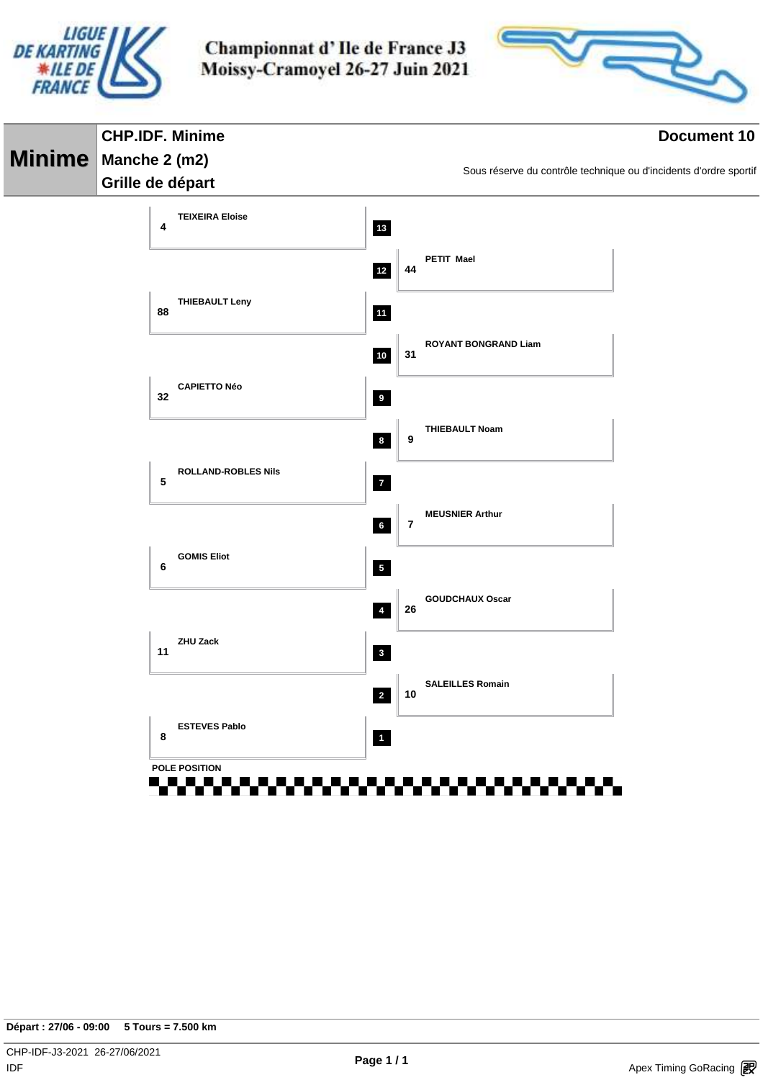



| <b>CHP.IDF. Minime</b>                                  | <b>Document 10</b>       |                         |                                                                   |  |  |
|---------------------------------------------------------|--------------------------|-------------------------|-------------------------------------------------------------------|--|--|
| Minime   Manche 2 (m2)                                  |                          |                         |                                                                   |  |  |
| Grille de départ                                        |                          |                         | Sous réserve du contrôle technique ou d'incidents d'ordre sportif |  |  |
| <b>TEIXEIRA Eloise</b><br>4                             | $13$                     |                         |                                                                   |  |  |
|                                                         | $12$                     | 44                      | PETIT Mael                                                        |  |  |
| <b>THIEBAULT Leny</b><br>88                             | 11                       |                         |                                                                   |  |  |
|                                                         | $10$                     | 31                      | <b>ROYANT BONGRAND Liam</b>                                       |  |  |
| <b>CAPIETTO Néo</b><br>32                               | 9                        |                         |                                                                   |  |  |
|                                                         | $\boldsymbol{8}$         | 9                       | <b>THIEBAULT Noam</b>                                             |  |  |
| <b>ROLLAND-ROBLES Nils</b><br>5                         | $\overline{7}$           |                         |                                                                   |  |  |
|                                                         | $6\overline{6}$          | $\overline{\mathbf{r}}$ | <b>MEUSNIER Arthur</b>                                            |  |  |
| <b>GOMIS Eliot</b><br>6                                 | $\overline{\phantom{a}}$ |                         |                                                                   |  |  |
|                                                         | $\overline{4}$           | 26                      | <b>GOUDCHAUX Oscar</b>                                            |  |  |
| <b>ZHU Zack</b><br>11                                   | $\mathbf{3}$             |                         |                                                                   |  |  |
|                                                         | $\overline{2}$           | 10                      | <b>SALEILLES Romain</b>                                           |  |  |
| <b>ESTEVES Pablo</b><br>8                               | $\blacksquare$           |                         |                                                                   |  |  |
| POLE POSITION<br>------------- <del>-------------</del> |                          |                         |                                                                   |  |  |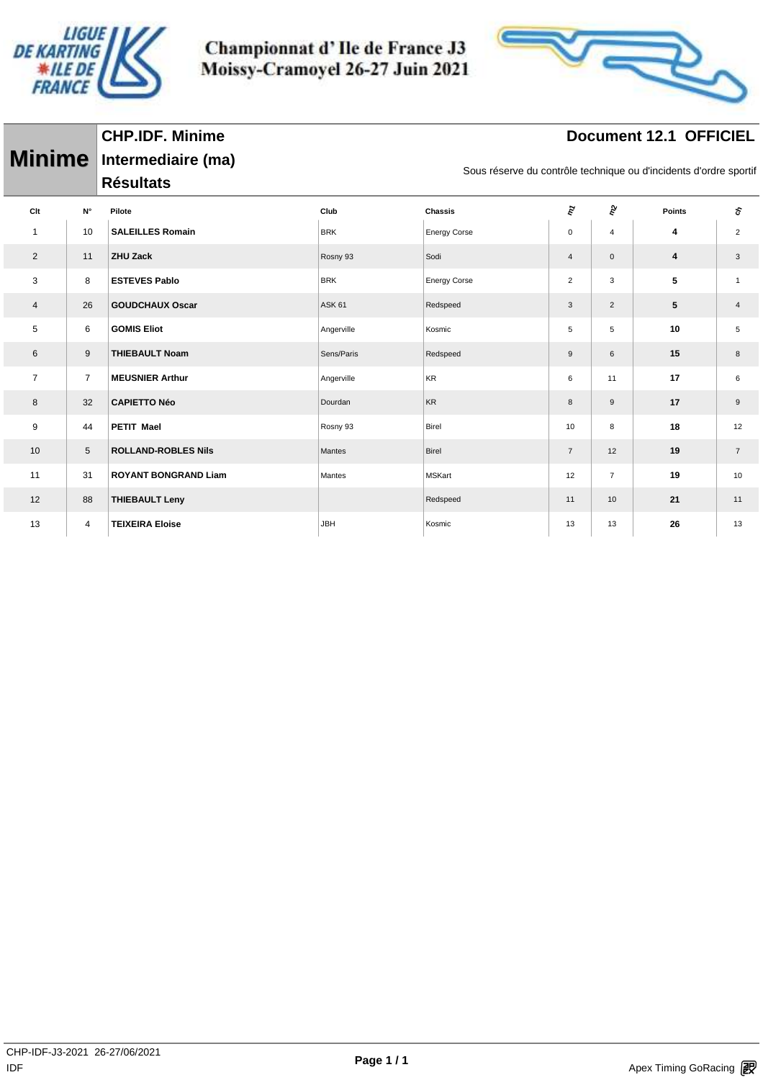

Championnat d'Ile de France J3 Moissy-Cramoyel 26-27 Juin 2021



# **Document 12.1 OFFICIEL**

| <b>Minime</b>    |                | Intermediaire (ma)<br><b>Résultats</b> |               |                     | Sous réserve du contrôle technique ou d'incidents d'ordre sportif |                |               |                           |
|------------------|----------------|----------------------------------------|---------------|---------------------|-------------------------------------------------------------------|----------------|---------------|---------------------------|
| Clt              | N°             | Pilote                                 | Club          | <b>Chassis</b>      | $\tilde{\epsilon}$                                                | ĝ              | <b>Points</b> | ξ                         |
| $\mathbf{1}$     | 10             | <b>SALEILLES Romain</b>                | <b>BRK</b>    | <b>Energy Corse</b> | $\mathbf 0$                                                       | 4              | 4             | $\overline{2}$            |
| 2                | 11             | <b>ZHU Zack</b>                        | Rosny 93      | Sodi                | $\overline{4}$                                                    | $\mathbf 0$    | 4             | $\ensuremath{\mathsf{3}}$ |
| 3                | 8              | <b>ESTEVES Pablo</b>                   | <b>BRK</b>    | <b>Energy Corse</b> | $\overline{2}$                                                    | 3              | 5             | $\mathbf{1}$              |
| $\overline{4}$   | 26             | <b>GOUDCHAUX Oscar</b>                 | <b>ASK 61</b> | Redspeed            | 3                                                                 | $\overline{2}$ | 5             | $\overline{4}$            |
| $\,$ 5 $\,$      | 6              | <b>GOMIS Eliot</b>                     | Angerville    | Kosmic              | 5                                                                 | 5              | 10            | 5                         |
| $\,6$            | 9              | <b>THIEBAULT Noam</b>                  | Sens/Paris    | Redspeed            | 9                                                                 | 6              | 15            | 8                         |
| $\overline{7}$   | $\overline{7}$ | <b>MEUSNIER Arthur</b>                 | Angerville    | KR                  | 6                                                                 | 11             | 17            | 6                         |
| 8                | 32             | <b>CAPIETTO Néo</b>                    | Dourdan       | <b>KR</b>           | 8                                                                 | 9              | 17            | $\boldsymbol{9}$          |
| $\boldsymbol{9}$ | 44             | <b>PETIT Mael</b>                      | Rosny 93      | Birel               | 10                                                                | 8              | 18            | 12                        |
| 10               | 5              | <b>ROLLAND-ROBLES Nils</b>             | Mantes        | Birel               | $\overline{7}$                                                    | 12             | 19            | $\overline{7}$            |
| 11               | 31             | <b>ROYANT BONGRAND Liam</b>            | Mantes        | <b>MSKart</b>       | 12                                                                | $\overline{7}$ | 19            | 10                        |
| 12               | 88             | <b>THIEBAULT Leny</b>                  |               | Redspeed            | 11                                                                | 10             | 21            | 11                        |
| 13               | 4              | <b>TEIXEIRA Eloise</b>                 | <b>JBH</b>    | Kosmic              | 13                                                                | 13             | 26            | 13                        |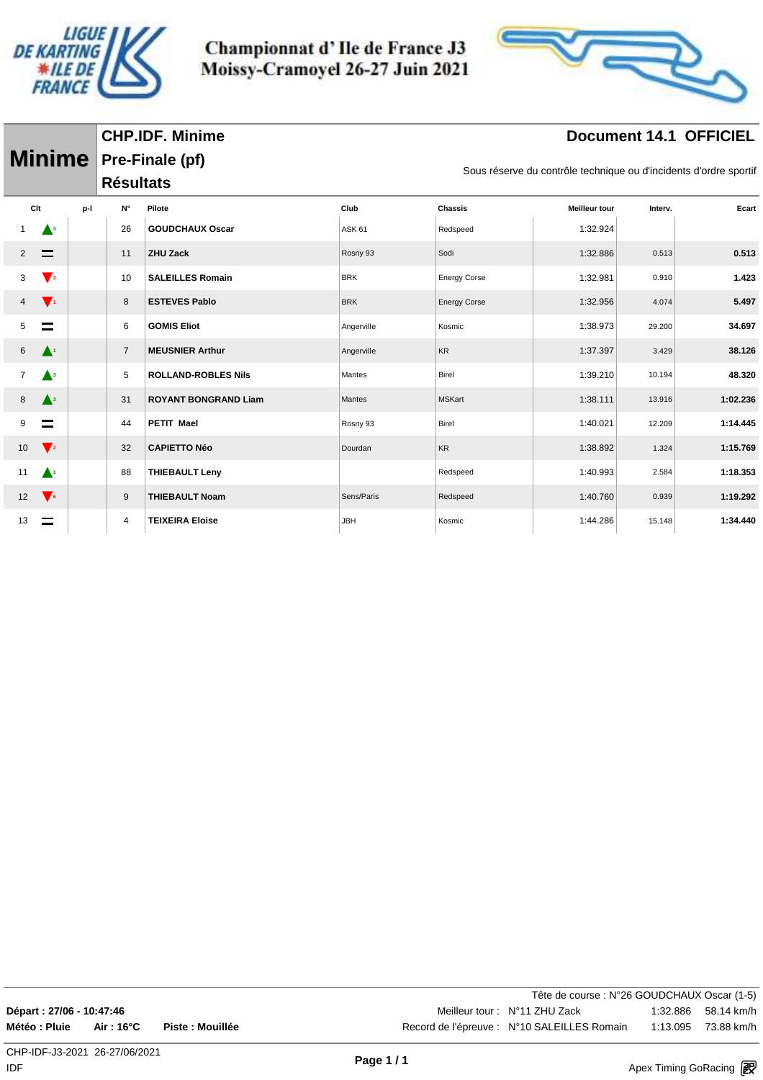

Championnat d'Ile de France J3 Moissy-Cramoyel 26-27 Juin 2021



# **Document 14.1 OFFICIEL**

|                |                    |                  | <b>Minime</b> Pre-Finale (pf) |               |                     |               | Sous réserve du contrôle technique ou d'incidents d'ordre sportif |          |  |  |  |  |  |  |
|----------------|--------------------|------------------|-------------------------------|---------------|---------------------|---------------|-------------------------------------------------------------------|----------|--|--|--|--|--|--|
|                |                    | <b>Résultats</b> |                               |               |                     |               |                                                                   |          |  |  |  |  |  |  |
| Clt            | p-l                | N°               | Pilote                        | Club          | Chassis             | Meilleur tour | Interv.                                                           | Ecart    |  |  |  |  |  |  |
|                | $\blacktriangle^3$ | 26               | <b>GOUDCHAUX Oscar</b>        | <b>ASK 61</b> | Redspeed            | 1:32.924      |                                                                   |          |  |  |  |  |  |  |
| 2              |                    | 11               | <b>ZHU Zack</b>               | Rosny 93      | Sodi                | 1:32.886      | 0.513                                                             | 0.513    |  |  |  |  |  |  |
| 3              | $\mathbf{V}_2$     | 10               | <b>SALEILLES Romain</b>       | <b>BRK</b>    | <b>Energy Corse</b> | 1:32.981      | 0.910                                                             | 1.423    |  |  |  |  |  |  |
| 4              | $\mathbf{V}_1$     | 8                | <b>ESTEVES Pablo</b>          | <b>BRK</b>    | <b>Energy Corse</b> | 1:32.956      | 4.074                                                             | 5.497    |  |  |  |  |  |  |
| 5              | $\equiv$           | 6                | <b>GOMIS Eliot</b>            | Angerville    | Kosmic              | 1:38.973      | 29.200                                                            | 34.697   |  |  |  |  |  |  |
| 6              | $\blacktriangle^1$ | $\overline{7}$   | <b>MEUSNIER Arthur</b>        | Angerville    | <b>KR</b>           | 1:37.397      | 3.429                                                             | 38.126   |  |  |  |  |  |  |
| $\overline{7}$ | $\blacktriangle^3$ | 5                | <b>ROLLAND-ROBLES Nils</b>    | Mantes        | Birel               | 1:39.210      | 10.194                                                            | 48.320   |  |  |  |  |  |  |
| 8              | $\blacktriangle^3$ | 31               | <b>ROYANT BONGRAND Liam</b>   | Mantes        | <b>MSKart</b>       | 1:38.111      | 13.916                                                            | 1:02.236 |  |  |  |  |  |  |
| 9              |                    | 44               | <b>PETIT Mael</b>             | Rosny 93      | <b>Birel</b>        | 1:40.021      | 12.209                                                            | 1:14.445 |  |  |  |  |  |  |
| 10             | $\sqrt{2}$         | 32               | <b>CAPIETTO Néo</b>           | Dourdan       | <b>KR</b>           | 1:38.892      | 1.324                                                             | 1:15.769 |  |  |  |  |  |  |
| 11             | $\blacktriangle^1$ | 88               | <b>THIEBAULT Leny</b>         |               | Redspeed            | 1:40.993      | 2.584                                                             | 1:18.353 |  |  |  |  |  |  |
| 12             | $\sqrt{6}$         | 9                | <b>THIEBAULT Noam</b>         | Sens/Paris    | Redspeed            | 1:40.760      | 0.939                                                             | 1:19.292 |  |  |  |  |  |  |
| 13             |                    | 4                | <b>TEIXEIRA Eloise</b>        | <b>JBH</b>    | Kosmic              | 1:44.286      | 15.148                                                            | 1:34.440 |  |  |  |  |  |  |

Tête de course : N°26 GOUDCHAUX Oscar (1-5) **Départ : 27/06 - 10:47:46 Meilleur tour : N°11 ZHU Zack** 1:32.886 58.14 km/h **Météo : Pluie Air : 16°C Piste : Mouillée** And a Record de l'épreuve : N°10 SALEILLES Romain 1:13.095 73.88 km/h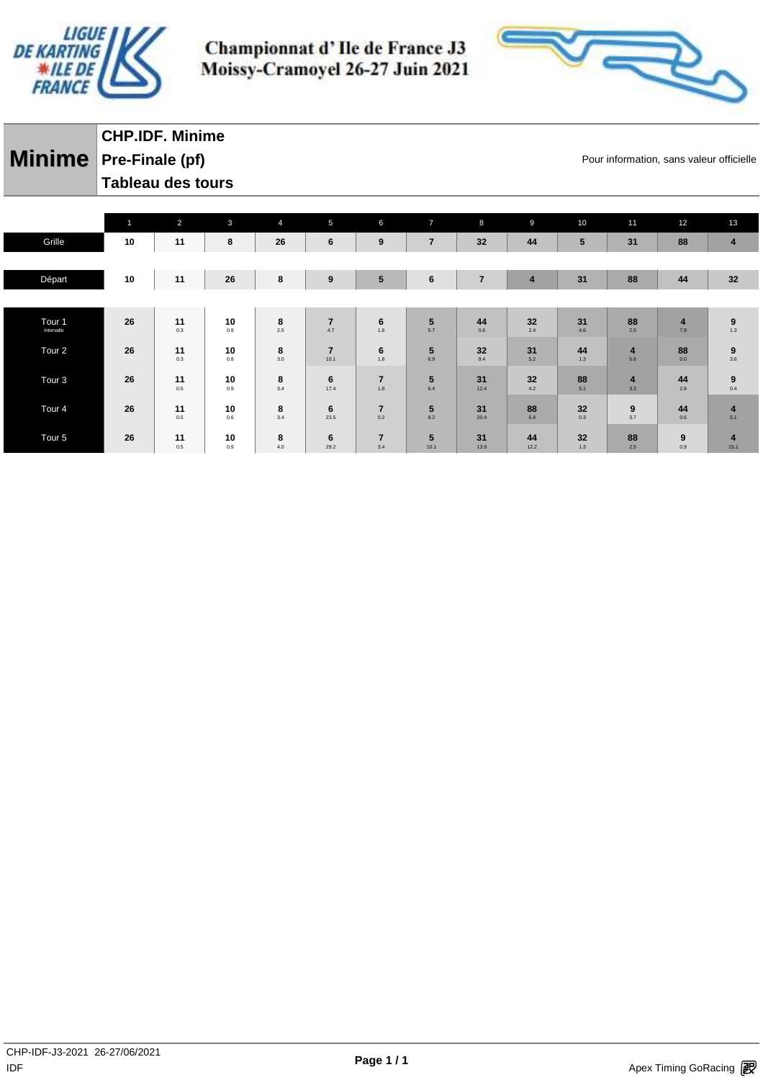



# **Minime** Pre-Finale (pf) **Exercise 2 Minimation**, sans valeur officielle **CHP.IDF. Minime Tableau des tours**

|                   | $\overline{1}$ | $\overline{2}$ | $\mathbf{3}$ | $\overline{4}$ | 5                      | 6                     | $\overline{7}$         | 8              | 9                       | 10        | 11                             | 12             | 13                                               |
|-------------------|----------------|----------------|--------------|----------------|------------------------|-----------------------|------------------------|----------------|-------------------------|-----------|--------------------------------|----------------|--------------------------------------------------|
| Grille            | 10             | 11             | 8            | 26             | 6                      | 9                     | $\overline{7}$         | 32             | 44                      | 5         | 31                             | 88             | $\overline{4}$                                   |
|                   |                |                |              |                |                        |                       |                        |                |                         |           |                                |                |                                                  |
| Départ            | 10             | 11             | 26           | 8              | 9                      | $5\phantom{1}$        | $6\phantom{1}6$        | $\overline{7}$ | $\overline{\mathbf{4}}$ | 31        | 88                             | 44             | 32                                               |
|                   |                |                |              |                |                        |                       |                        |                |                         |           |                                |                |                                                  |
| Tour 1            | 26             | 11             | 10           | 8              | $\overline{7}$         | 6                     | $5\phantom{.0}$        | 44             | 32                      | 31        | 88                             | $\overline{4}$ | $\boldsymbol{9}$                                 |
| Intervalle        |                | 0.3            | 0.9          | 2.5            | 4.7                    | 1.6                   | 5.7                    | 0.6            | 2.4                     | 4.6       | 2.5                            | 7.9            | 1.3                                              |
| Tour <sub>2</sub> | 26             | 11<br>0.3      | 10<br>0.8    | 8<br>3.0       | $\overline{7}$<br>10.1 | 6<br>1.8              | 5<br>6.9               | 32<br>9.4      | 31<br>5.2               | 44<br>1.3 | $\overline{\mathbf{4}}$<br>5.6 | 88<br>0.0      | $\begin{array}{c} \mathbf{9} \\ 3.6 \end{array}$ |
|                   |                |                |              |                |                        |                       |                        |                |                         |           |                                |                |                                                  |
| Tour <sub>3</sub> | 26             | 11<br>0.5      | 10<br>0.9    | 8<br>3.4       | 6<br>17.4              | $\overline{7}$<br>1.8 | $5\phantom{.0}$<br>6.4 | 31<br>12.4     | 32<br>$4.2\,$           | 88<br>5.1 | $\overline{\mathbf{4}}$<br>3.3 | 44<br>2.8      | $\begin{array}{c} \mathbf{9} \\ 0.4 \end{array}$ |
| Tour <sub>4</sub> | 26             | 11             | 10           | 8              | 6                      | $\overline{7}$        | $5\phantom{.0}$        | 31             | 88                      | 32        | 9                              | 44             | $\overline{\mathbf{4}}$                          |
|                   |                | 0.5            | 0.6          | 3.4            | 23.5                   | 0.2                   | 8.2                    | 20.4           | 5.4                     | 0.3       | 3.7                            | 0.6            | 5.1                                              |
| Tour <sub>5</sub> | 26             | 11             | 10           | 8              | 6                      | $\overline{7}$        | 5                      | 31             | 44                      | 32        | 88                             | 9              | $\overline{4}$                                   |
|                   |                | 0.5            | 0.9          | 4.0            | 29.2                   | 3.4                   | 10.1                   | 13.9           | 12.2                    | 1.3       | 2.5                            | 0.9            | 15.1                                             |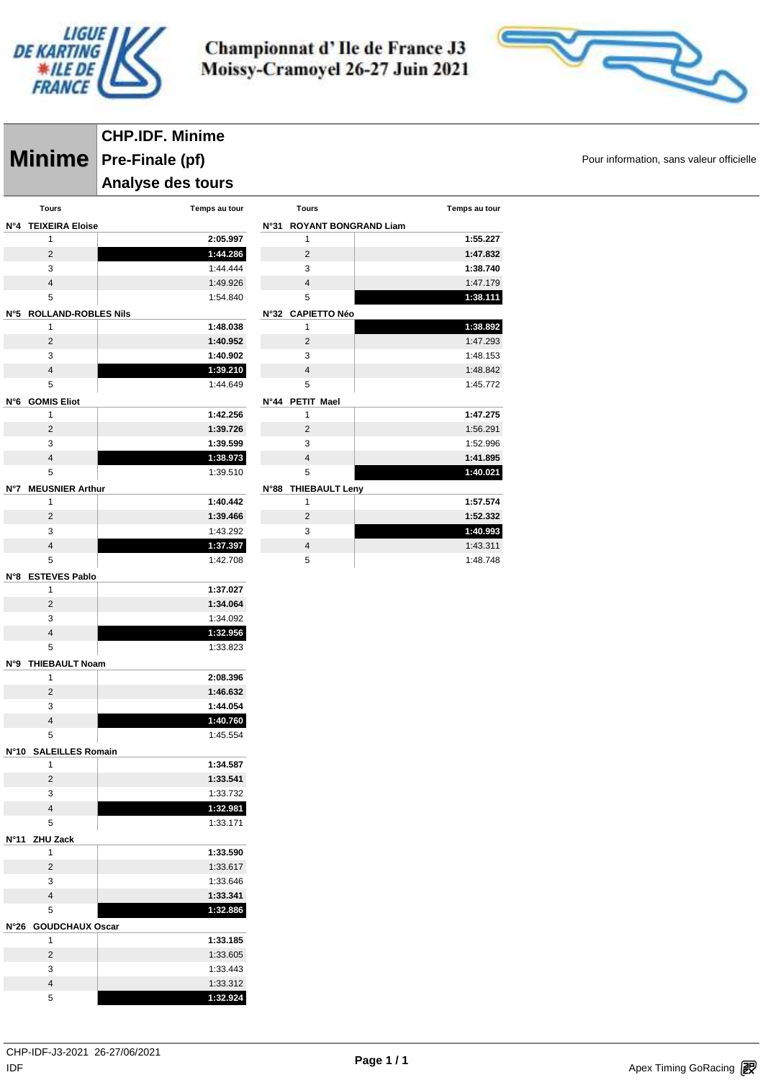



#### **Minime** Pre-Finale (pf) **Exercise 2 Minimation**, sans valeur officielle **CHP.IDF. Minime Analyse des tours Tours Temps au tour N°4 TEIXEIRA Eloise 2:05.997 1:44.286**  $3 \t 1.44.444$  1:49.926 1:54.840 **N°5 ROLLAND-ROBLES Nils 1:48.038 1:40.952 1:40.902 1:39.210** 1:44.649 **N°6 GOMIS Eliot 1:42.256 1:39.726 1:39.599 1:38.973** 1:39.510 **N°7 MEUSNIER Arthur 1:40.442 1:39.466** 1:43.292 **1:37.397** 1:42.708 **N°8 ESTEVES Pablo 1:37.027 1:34.064** 1:34.092 **1:32.956** 1:33.823 **N°9 THIEBAULT Noam 2:08.396 1:46.632 1:44.054 1:40.760** 1:45.554 **N°10 SALEILLES Romain 1:34.587 1:33.541** 1:33.732 **1:32.981** 1:33.171 **N°11 ZHU Zack 1:33.590** 1:33.617 1:33.646 **1:33.341 1:32.886 N°26 GOUDCHAUX Oscar 1:33.185** 1:33.605 1:33.443 1:33.312

|      | <b>Tours</b>                | Temps au tour |
|------|-----------------------------|---------------|
| N°31 | <b>ROYANT BONGRAND Liam</b> |               |
|      | 1                           | 1:55.227      |
|      | $\overline{2}$              | 1:47.832      |
|      | 3                           | 1:38.740      |
|      | $\overline{4}$              | 1:47.179      |
|      | 5                           | 1:38.111      |
|      | N°32 CAPIETTO Néo           |               |
|      | 1                           | 1:38.892      |
|      | $\overline{2}$              | 1:47.293      |
|      | 3                           | 1:48.153      |
|      | $\overline{4}$              | 1:48.842      |
|      | 5                           | 1:45.772      |
| N°44 | <b>PETIT</b><br>Mael        |               |
|      | 1                           | 1:47.275      |
|      | $\overline{2}$              | 1:56.291      |
|      | 3                           | 1:52.996      |
|      | $\overline{\mathbf{4}}$     | 1:41.895      |
|      | 5                           | 1:40.021      |
|      | N°88 THIEBAULT Leny         |               |
|      | 1                           | 1:57.574      |
|      | $\overline{2}$              | 1:52.332      |
|      | 3                           | 1:40.993      |
|      | $\overline{4}$              | 1:43.311      |

1:48.748

**1:32.924**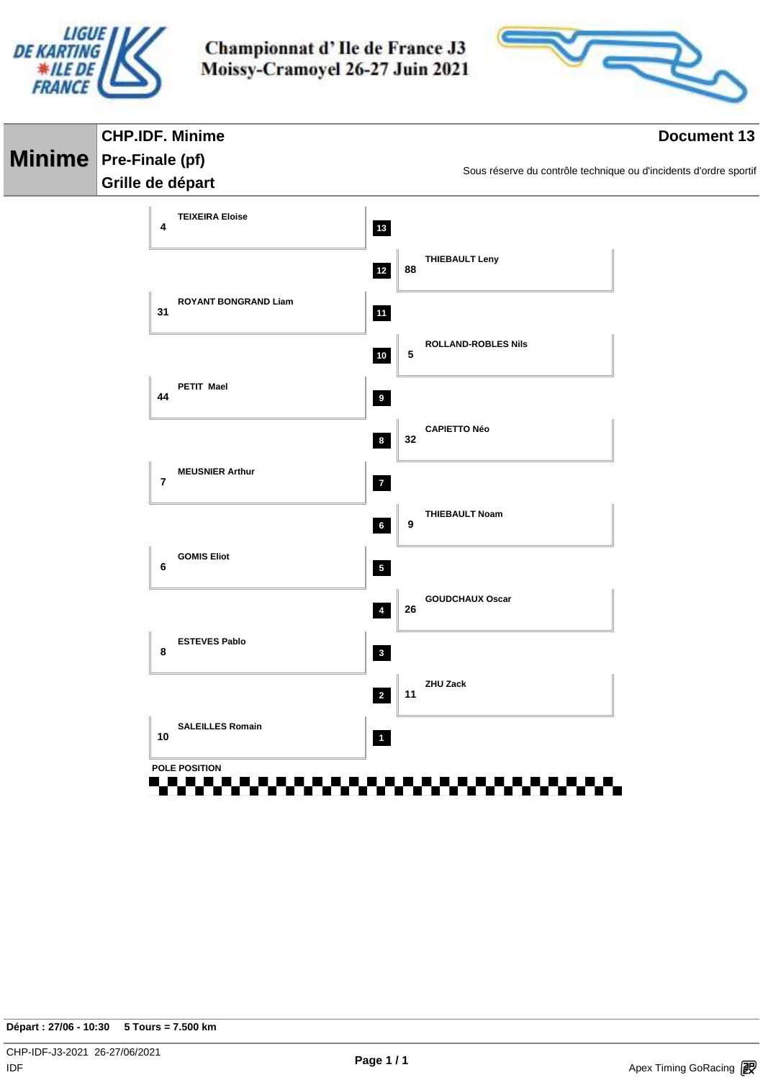



| <b>CHP.IDF. Minime</b>                   |                         | <b>Document 13</b>                                                |
|------------------------------------------|-------------------------|-------------------------------------------------------------------|
| Minime Pre-Finale (pf)                   |                         | Sous réserve du contrôle technique ou d'incidents d'ordre sportif |
| Grille de départ                         |                         |                                                                   |
| <b>TEIXEIRA Eloise</b><br>4              | 13                      |                                                                   |
|                                          | $12$                    | <b>THIEBAULT Leny</b><br>88                                       |
| <b>ROYANT BONGRAND Liam</b><br>31        | 11                      |                                                                   |
|                                          | $10\,$                  | <b>ROLLAND-ROBLES Nils</b><br>5                                   |
| PETIT Mael<br>44                         | 9                       |                                                                   |
|                                          | $\boldsymbol{8}$        | <b>CAPIETTO Néo</b><br>32                                         |
| <b>MEUSNIER Arthur</b><br>$\overline{7}$ | $\mathbf{7}$            |                                                                   |
|                                          | $6\overline{6}$         | <b>THIEBAULT Noam</b><br>9                                        |
| <b>GOMIS Eliot</b><br>6                  | 5 <sub>1</sub>          |                                                                   |
|                                          | $\overline{4}$          | <b>GOUDCHAUX Oscar</b><br>26                                      |
| <b>ESTEVES Pablo</b><br>8                | $\overline{\mathbf{3}}$ |                                                                   |
|                                          | $\overline{2}$          | <b>ZHU Zack</b><br>11                                             |
| <b>SALEILLES Romain</b><br>10            | $\mathbf{1}$            |                                                                   |
| POLE POSITION                            |                         |                                                                   |
| . .<br>.                                 |                         |                                                                   |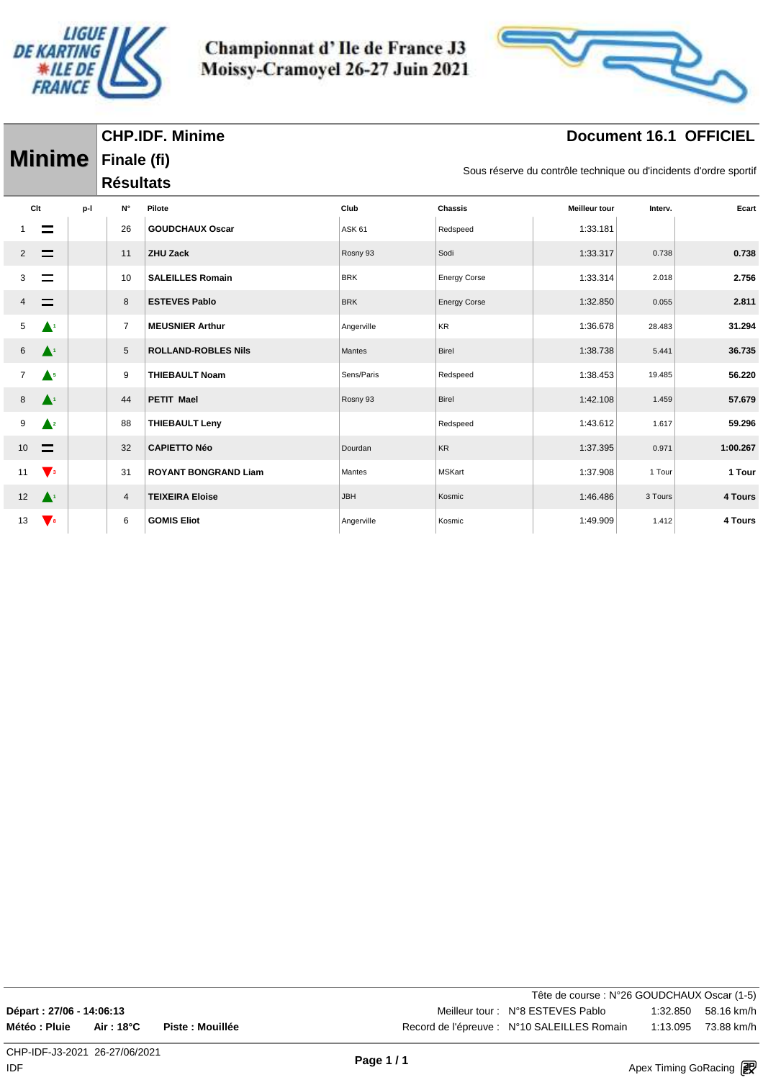

Championnat d'Ile de France J3 Moissy-Cramoyel 26-27 Juin 2021



## **Document 16.1 OFFICIEL**

|                 | <b>Minime</b> Finale (fi) |                  |                             |               |                     | Sous réserve du contrôle technique ou d'incidents d'ordre sportif |         |          |
|-----------------|---------------------------|------------------|-----------------------------|---------------|---------------------|-------------------------------------------------------------------|---------|----------|
|                 |                           | <b>Résultats</b> |                             |               |                     |                                                                   |         |          |
| Clt             | p-l                       | N۰               | Pilote                      | Club          | <b>Chassis</b>      | <b>Meilleur tour</b>                                              | Interv. | Ecart    |
|                 |                           | 26               | <b>GOUDCHAUX Oscar</b>      | <b>ASK 61</b> | Redspeed            | 1:33.181                                                          |         |          |
| $\overline{2}$  | $\equiv$                  | 11               | <b>ZHU Zack</b>             | Rosny 93      | Sodi                | 1:33.317                                                          | 0.738   | 0.738    |
| 3               |                           | 10               | <b>SALEILLES Romain</b>     | <b>BRK</b>    | <b>Energy Corse</b> | 1:33.314                                                          | 2.018   | 2.756    |
| 4               |                           | 8                | <b>ESTEVES Pablo</b>        | <b>BRK</b>    | <b>Energy Corse</b> | 1:32.850                                                          | 0.055   | 2.811    |
| 5               | $\blacktriangle^i$        | $\overline{7}$   | <b>MEUSNIER Arthur</b>      | Angerville    | KR                  | 1:36.678                                                          | 28.483  | 31.294   |
| 6               | $\blacktriangle^1$        | 5                | <b>ROLLAND-ROBLES Nils</b>  | Mantes        | Birel               | 1:38.738                                                          | 5.441   | 36.735   |
| $\overline{7}$  | $\blacktriangle^5$        | 9                | <b>THIEBAULT Noam</b>       | Sens/Paris    | Redspeed            | 1:38.453                                                          | 19.485  | 56.220   |
| 8               | $\blacktriangle^+$        | 44               | <b>PETIT Mael</b>           | Rosny 93      | Birel               | 1:42.108                                                          | 1.459   | 57.679   |
| 9               | $\triangle^2$             | 88               | <b>THIEBAULT Leny</b>       |               | Redspeed            | 1:43.612                                                          | 1.617   | 59.296   |
| 10 <sup>1</sup> |                           | 32               | <b>CAPIETTO Néo</b>         | Dourdan       | KR                  | 1:37.395                                                          | 0.971   | 1:00.267 |
| 11              | $\sqrt{3}$                | 31               | <b>ROYANT BONGRAND Liam</b> | Mantes        | <b>MSKart</b>       | 1:37.908                                                          | 1 Tour  | 1 Tour   |
| 12              | $\blacktriangle^1$        | 4                | <b>TEIXEIRA Eloise</b>      | <b>JBH</b>    | Kosmic              | 1:46.486                                                          | 3 Tours | 4 Tours  |
| 13              | $\mathbf{V}$ 8            | 6                | <b>GOMIS Eliot</b>          | Angerville    | Kosmic              | 1:49.909                                                          | 1.412   | 4 Tours  |

Tête de course : N°26 GOUDCHAUX Oscar (1-5) **Départ : 27/06 - 14:06:13** Meilleur tour : N°8 ESTEVES Pablo 1:32.850 58.16 km/h **Météo : Pluie Air : 18°C Piste : Mouillée** Record de l'épreuve : N°10 SALEILLES Romain 1:13.095 73.88 km/h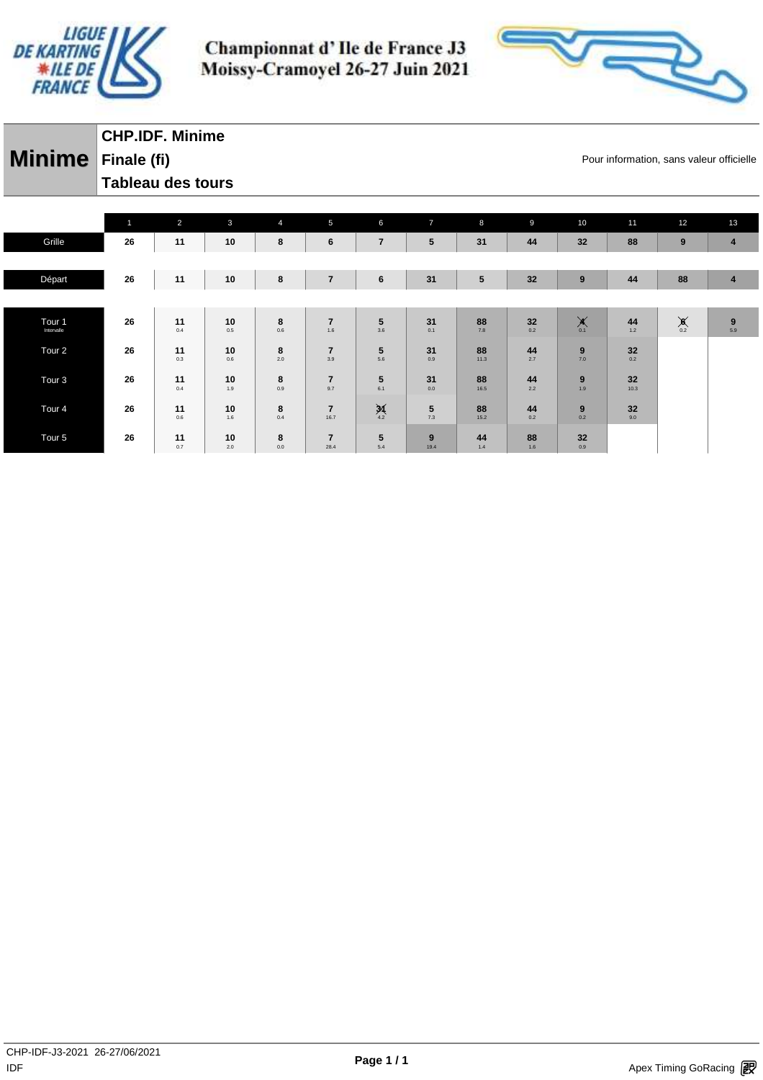



#### **Minime** Finale (fi) **Minime Pour information, sans valeur officielle CHP.IDF. Minime Finale (fi) Tableau des tours**

|                   | $\mathbf{1}$ | $\overline{2}$ | $\mathbf{3}$ | $\overline{4}$ | $5\phantom{.0}$         | 6               | $\overline{7}$ | 8         | 9      | 10                 | 11    | 12           | 13               |
|-------------------|--------------|----------------|--------------|----------------|-------------------------|-----------------|----------------|-----------|--------|--------------------|-------|--------------|------------------|
| Grille            | 26           | 11             | 10           | 8              | 6                       | $\overline{7}$  | 5              | 31        | 44     | 32                 | 88    | 9            | 4                |
|                   |              |                |              |                |                         |                 |                |           |        |                    |       |              |                  |
| Départ            | 26           | 11             | 10           | 8              | $\overline{\mathbf{r}}$ | $\bf 6$         | 31             | ${\bf 5}$ | 32     | $\boldsymbol{9}$   | 44    | 88           | 4                |
|                   |              |                |              |                |                         |                 |                |           |        |                    |       |              |                  |
| Tour <sub>1</sub> | 26           | 11             | 10           | 8              | $\overline{7}$          | 5               | 31             | 88        | $32\,$ | $\mathbf{X}_{0.1}$ | 44    | $\sum_{0.2}$ | $\boldsymbol{9}$ |
| Intervalle        |              | 0.4            | 0.5          | 0.6            | 1.6                     | 3.6             | 0.1            | 7.8       | 0.2    |                    | $1.2$ |              | 5.9              |
| Tour <sub>2</sub> | 26           | 11             | 10           | 8              | $\overline{7}$          | 5               | 31             | 88        | 44     | 9                  | 32    |              |                  |
|                   |              | 0.3            | 0.6          | 2.0            | 3.9                     | 5.6             | 0.9            | 11.3      | 2.7    | 7.0                | 0.2   |              |                  |
| Tour <sub>3</sub> | 26           | 11             | 10           | 8              | $\overline{7}$          | 5               | 31             | 88        | 44     | 9                  | 32    |              |                  |
|                   |              | 0.4            | $1.9$        | 0.9            | 9.7                     | 6.1             | 0.0            | 16.5      | 2.2    | 1.9                | 10.3  |              |                  |
| Tour <sub>4</sub> | 26           | 11             | 10           | 8              | $\overline{7}$          | $\frac{3}{4.2}$ | 5              | 88        | 44     | 9                  | 32    |              |                  |
|                   |              | 0.6            | 1.6          | 0.4            | 16.7                    |                 | 7.3            | 15.2      | 0.2    | 0.2                | 9.0   |              |                  |
| Tour <sub>5</sub> | 26           | 11             | 10           | 8              | $\overline{7}$          | 5               | 9              | 44        | 88     | 32                 |       |              |                  |
|                   |              | 0.7            | 2.0          | 0.0            | 28.4                    | 5.4             | 19.4           | 1.4       | 1.6    | 0.9                |       |              |                  |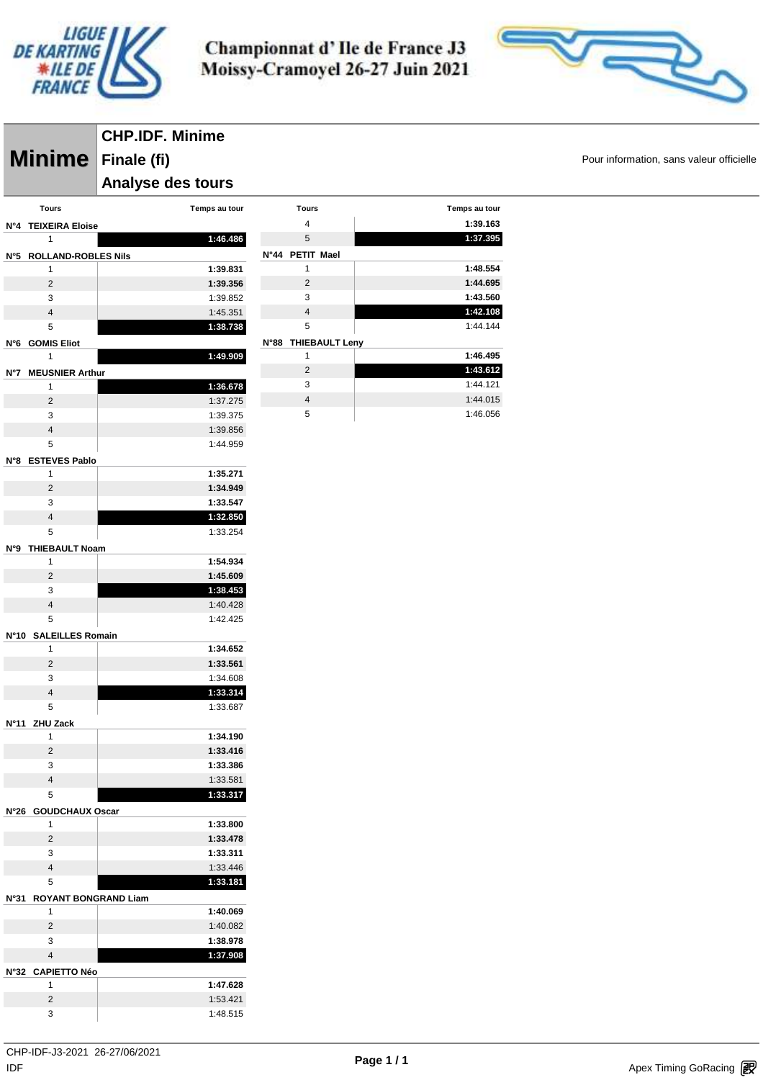

> **Tours Temps au tour 1:39.163 1:37.395**

> > **1:48.554 1:44.695 1:43.560 1:42.108** 1:44.144

> > **1:46.495 1:43.612** 1:44.121 1:44.015 1:46.056



**Minime** Finale (fi) **Minime Pour information, sans valeur officielle CHP.IDF. Minime Finale (fi) Analyse des tours** 

| Tours                        | Temps au tour | Tours               |
|------------------------------|---------------|---------------------|
| N°4 TEIXEIRA Eloise          |               | 4                   |
| $\mathbf{1}$                 | 1:46.486      | 5                   |
| N°5 ROLLAND-ROBLES Nils      |               | N°44 PETIT Mael     |
| 1                            | 1:39.831      | 1                   |
| $\overline{2}$               | 1:39.356      | $\overline{2}$      |
| 3                            | 1:39.852      | 3                   |
| $\overline{4}$               | 1:45.351      | $\overline{4}$      |
| 5                            | 1:38.738      | 5                   |
| N°6 GOMIS Eliot              |               | N°88 THIEBAULT Leny |
| 1                            | 1:49.909      | 1                   |
| N°7 MEUSNIER Arthur          |               | $\overline{2}$      |
| 1                            | 1:36.678      | 3                   |
| $\overline{2}$               | 1:37.275      | 4                   |
| 3                            | 1:39.375      | 5                   |
| $\overline{4}$               | 1:39.856      |                     |
| 5                            | 1:44.959      |                     |
| N°8 ESTEVES Pablo            |               |                     |
| 1                            | 1:35.271      |                     |
| 2                            | 1:34.949      |                     |
| 3                            | 1:33.547      |                     |
| $\overline{4}$               | 1:32.850      |                     |
| 5                            | 1:33.254      |                     |
| <b>THIEBAULT Noam</b><br>N°9 |               |                     |
| 1                            | 1:54.934      |                     |
| $\overline{2}$               | 1:45.609      |                     |
| 3                            | 1:38.453      |                     |
| $\overline{4}$               | 1:40.428      |                     |
| 5                            | 1:42.425      |                     |
| N°10 SALEILLES Romain        |               |                     |
| 1                            | 1:34.652      |                     |
| $\overline{2}$               | 1:33.561      |                     |
| 3                            | 1:34.608      |                     |
| $\overline{4}$               | 1:33.314      |                     |
| 5                            | 1:33.687      |                     |
| N°11<br><b>ZHU Zack</b>      |               |                     |
| 1                            | 1:34.190      |                     |
| $\overline{2}$               | 1:33.416      |                     |
| 3                            | 1:33.386      |                     |
| 4                            | 1:33.581      |                     |
| 5                            | 1:33.317      |                     |
| N°26 GOUDCHAUX Oscar         |               |                     |
| 1                            | 1:33.800      |                     |
| 2                            | 1:33.478      |                     |
| 3                            | 1:33.311      |                     |
| $\overline{4}$               | 1:33.446      |                     |
| 5                            | 1:33.181      |                     |
| <b>ROYANT BONGRAND Liam</b>  |               |                     |
| N°31<br>$\mathbf{1}$         | 1:40.069      |                     |
| $\overline{2}$               | 1:40.082      |                     |
| 3                            | 1:38.978      |                     |
| $\overline{4}$               | 1:37.908      |                     |
|                              |               |                     |
| N°32 CAPIETTO Néo<br>1       | 1:47.628      |                     |
| $\overline{2}$               |               |                     |
|                              | 1:53.421      |                     |
| 3                            | 1:48.515      |                     |